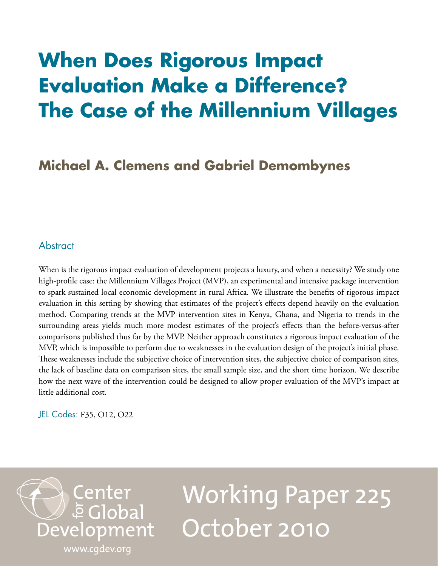## **When Does Rigorous Impact Evaluation Make a Difference? The Case of the Millennium Villages**

### **Michael A. Clemens and Gabriel Demombynes**

#### **Abstract**

When is the rigorous impact evaluation of development projects a luxury, and when a necessity? We study one high-profile case: the Millennium Villages Project (MVP), an experimental and intensive package intervention to spark sustained local economic development in rural Africa. We illustrate the benefits of rigorous impact evaluation in this setting by showing that estimates of the project's effects depend heavily on the evaluation method. Comparing trends at the MVP intervention sites in Kenya, Ghana, and Nigeria to trends in the surrounding areas yields much more modest estimates of the project's effects than the before-versus-after comparisons published thus far by the MVP. Neither approach constitutes a rigorous impact evaluation of the MVP, which is impossible to perform due to weaknesses in the evaluation design of the project's initial phase. These weaknesses include the subjective choice of intervention sites, the subjective choice of comparison sites, the lack of baseline data on comparison sites, the small sample size, and the short time horizon. We describe how the next wave of the intervention could be designed to allow proper evaluation of the MVP's impact at little additional cost.

JEL Codes: F35, O12, O22



# Working Paper 225 October 2010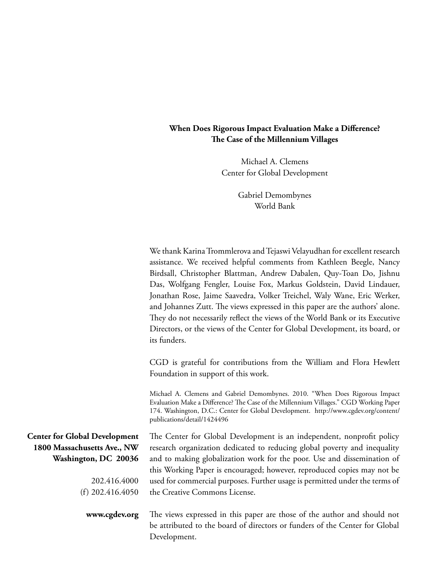#### **When Does Rigorous Impact Evaluation Make a Difference? The Case of the Millennium Villages**

Michael A. Clemens Center for Global Development

> Gabriel Demombynes World Bank

We thank Karina Trommlerova and Tejaswi Velayudhan for excellent research assistance. We received helpful comments from Kathleen Beegle, Nancy Birdsall, Christopher Blattman, Andrew Dabalen, Quy-Toan Do, Jishnu Das, Wolfgang Fengler, Louise Fox, Markus Goldstein, David Lindauer, Jonathan Rose, Jaime Saavedra, Volker Treichel, Waly Wane, Eric Werker, and Johannes Zutt. The views expressed in this paper are the authors' alone. They do not necessarily reflect the views of the World Bank or its Executive Directors, or the views of the Center for Global Development, its board, or its funders.

CGD is grateful for contributions from the William and Flora Hewlett Foundation in support of this work.

Michael A. Clemens and Gabriel Demombynes. 2010. "When Does Rigorous Impact Evaluation Make a Difference? The Case of the Millennium Villages." CGD Working Paper 174. Washington, D.C.: Center for Global Development. http://www.cgdev.org/content/ publications/detail/1424496

|                                      | publications/detail/1424496                                                 |
|--------------------------------------|-----------------------------------------------------------------------------|
| <b>Center for Global Development</b> | The Center for Global Development is an independent, nonprofit policy       |
| 1800 Massachusetts Ave., NW          | research organization dedicated to reducing global poverty and inequality   |
| Washington, DC 20036                 | and to making globalization work for the poor. Use and dissemination of     |
|                                      | this Working Paper is encouraged; however, reproduced copies may not be     |
| 202.416.4000                         | used for commercial purposes. Further usage is permitted under the terms of |
| (f) $202.416.4050$                   | the Creative Commons License.                                               |
| www.cgdev.org                        | The views expressed in this paper are those of the author and should not    |
|                                      | be attributed to the board of directors or funders of the Center for Global |
|                                      | Development.                                                                |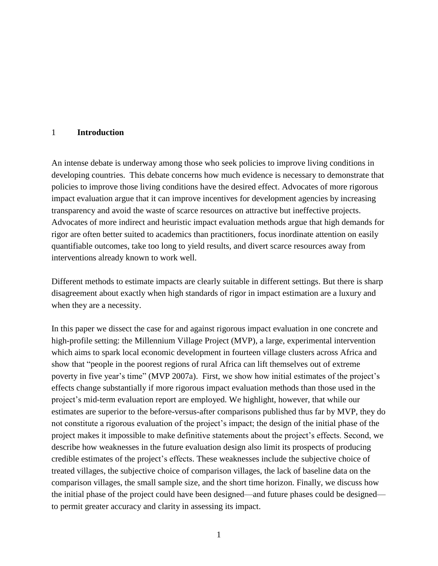#### 1 **Introduction**

An intense debate is underway among those who seek policies to improve living conditions in developing countries. This debate concerns how much evidence is necessary to demonstrate that policies to improve those living conditions have the desired effect. Advocates of more rigorous impact evaluation argue that it can improve incentives for development agencies by increasing transparency and avoid the waste of scarce resources on attractive but ineffective projects. Advocates of more indirect and heuristic impact evaluation methods argue that high demands for rigor are often better suited to academics than practitioners, focus inordinate attention on easily quantifiable outcomes, take too long to yield results, and divert scarce resources away from interventions already known to work well.

Different methods to estimate impacts are clearly suitable in different settings. But there is sharp disagreement about exactly when high standards of rigor in impact estimation are a luxury and when they are a necessity.

In this paper we dissect the case for and against rigorous impact evaluation in one concrete and high-profile setting: the Millennium Village Project (MVP), a large, experimental intervention which aims to spark local economic development in fourteen village clusters across Africa and show that "people in the poorest regions of rural Africa can lift themselves out of extreme poverty in five year's time" (MVP 2007a). First, we show how initial estimates of the project's effects change substantially if more rigorous impact evaluation methods than those used in the project's mid-term evaluation report are employed. We highlight, however, that while our estimates are superior to the before-versus-after comparisons published thus far by MVP, they do not constitute a rigorous evaluation of the project's impact; the design of the initial phase of the project makes it impossible to make definitive statements about the project's effects. Second, we describe how weaknesses in the future evaluation design also limit its prospects of producing credible estimates of the project's effects. These weaknesses include the subjective choice of treated villages, the subjective choice of comparison villages, the lack of baseline data on the comparison villages, the small sample size, and the short time horizon. Finally, we discuss how the initial phase of the project could have been designed—and future phases could be designed to permit greater accuracy and clarity in assessing its impact.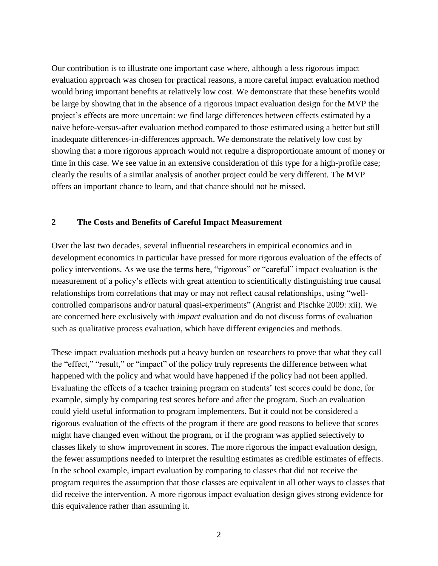Our contribution is to illustrate one important case where, although a less rigorous impact evaluation approach was chosen for practical reasons, a more careful impact evaluation method would bring important benefits at relatively low cost. We demonstrate that these benefits would be large by showing that in the absence of a rigorous impact evaluation design for the MVP the project's effects are more uncertain: we find large differences between effects estimated by a naive before-versus-after evaluation method compared to those estimated using a better but still inadequate differences-in-differences approach. We demonstrate the relatively low cost by showing that a more rigorous approach would not require a disproportionate amount of money or time in this case. We see value in an extensive consideration of this type for a high-profile case; clearly the results of a similar analysis of another project could be very different. The MVP offers an important chance to learn, and that chance should not be missed.

#### **2 The Costs and Benefits of Careful Impact Measurement**

Over the last two decades, several influential researchers in empirical economics and in development economics in particular have pressed for more rigorous evaluation of the effects of policy interventions. As we use the terms here, "rigorous" or "careful" impact evaluation is the measurement of a policy's effects with great attention to scientifically distinguishing true causal relationships from correlations that may or may not reflect causal relationships, using "wellcontrolled comparisons and/or natural quasi-experiments" (Angrist and Pischke 2009: xii). We are concerned here exclusively with *impact* evaluation and do not discuss forms of evaluation such as qualitative process evaluation, which have different exigencies and methods.

These impact evaluation methods put a heavy burden on researchers to prove that what they call the "effect," "result," or "impact" of the policy truly represents the difference between what happened with the policy and what would have happened if the policy had not been applied. Evaluating the effects of a teacher training program on students' test scores could be done, for example, simply by comparing test scores before and after the program. Such an evaluation could yield useful information to program implementers. But it could not be considered a rigorous evaluation of the effects of the program if there are good reasons to believe that scores might have changed even without the program, or if the program was applied selectively to classes likely to show improvement in scores. The more rigorous the impact evaluation design, the fewer assumptions needed to interpret the resulting estimates as credible estimates of effects. In the school example, impact evaluation by comparing to classes that did not receive the program requires the assumption that those classes are equivalent in all other ways to classes that did receive the intervention. A more rigorous impact evaluation design gives strong evidence for this equivalence rather than assuming it.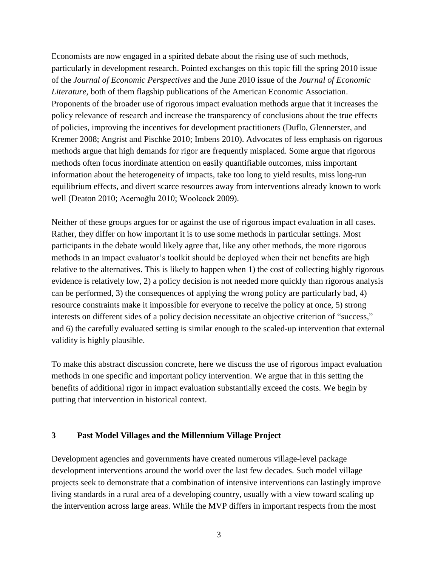Economists are now engaged in a spirited debate about the rising use of such methods, particularly in development research. Pointed exchanges on this topic fill the spring 2010 issue of the *Journal of Economic Perspectives* and the June 2010 issue of the *Journal of Economic Literature*, both of them flagship publications of the American Economic Association. Proponents of the broader use of rigorous impact evaluation methods argue that it increases the policy relevance of research and increase the transparency of conclusions about the true effects of policies, improving the incentives for development practitioners (Duflo, Glennerster, and Kremer 2008; Angrist and Pischke 2010; Imbens 2010). Advocates of less emphasis on rigorous methods argue that high demands for rigor are frequently misplaced. Some argue that rigorous methods often focus inordinate attention on easily quantifiable outcomes, miss important information about the heterogeneity of impacts, take too long to yield results, miss long-run equilibrium effects, and divert scarce resources away from interventions already known to work well (Deaton 2010; Acemoğlu 2010; Woolcock 2009).

Neither of these groups argues for or against the use of rigorous impact evaluation in all cases. Rather, they differ on how important it is to use some methods in particular settings. Most participants in the debate would likely agree that, like any other methods, the more rigorous methods in an impact evaluator's toolkit should be deployed when their net benefits are high relative to the alternatives. This is likely to happen when 1) the cost of collecting highly rigorous evidence is relatively low, 2) a policy decision is not needed more quickly than rigorous analysis can be performed, 3) the consequences of applying the wrong policy are particularly bad, 4) resource constraints make it impossible for everyone to receive the policy at once, 5) strong interests on different sides of a policy decision necessitate an objective criterion of "success," and 6) the carefully evaluated setting is similar enough to the scaled-up intervention that external validity is highly plausible.

To make this abstract discussion concrete, here we discuss the use of rigorous impact evaluation methods in one specific and important policy intervention. We argue that in this setting the benefits of additional rigor in impact evaluation substantially exceed the costs. We begin by putting that intervention in historical context.

#### **3 Past Model Villages and the Millennium Village Project**

Development agencies and governments have created numerous village-level package development interventions around the world over the last few decades. Such model village projects seek to demonstrate that a combination of intensive interventions can lastingly improve living standards in a rural area of a developing country, usually with a view toward scaling up the intervention across large areas. While the MVP differs in important respects from the most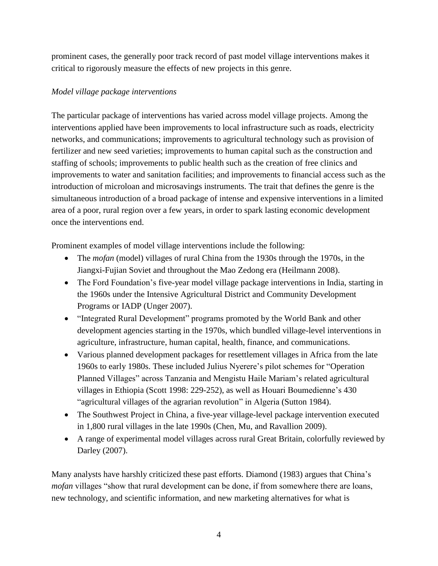prominent cases, the generally poor track record of past model village interventions makes it critical to rigorously measure the effects of new projects in this genre.

#### *Model village package interventions*

The particular package of interventions has varied across model village projects. Among the interventions applied have been improvements to local infrastructure such as roads, electricity networks, and communications; improvements to agricultural technology such as provision of fertilizer and new seed varieties; improvements to human capital such as the construction and staffing of schools; improvements to public health such as the creation of free clinics and improvements to water and sanitation facilities; and improvements to financial access such as the introduction of microloan and microsavings instruments. The trait that defines the genre is the simultaneous introduction of a broad package of intense and expensive interventions in a limited area of a poor, rural region over a few years, in order to spark lasting economic development once the interventions end.

Prominent examples of model village interventions include the following:

- The *mofan* (model) villages of rural China from the 1930s through the 1970s, in the Jiangxi-Fujian Soviet and throughout the Mao Zedong era (Heilmann 2008).
- The Ford Foundation's five-year model village package interventions in India, starting in the 1960s under the Intensive Agricultural District and Community Development Programs or IADP (Unger 2007).
- "Integrated Rural Development" programs promoted by the World Bank and other development agencies starting in the 1970s, which bundled village-level interventions in agriculture, infrastructure, human capital, health, finance, and communications.
- Various planned development packages for resettlement villages in Africa from the late 1960s to early 1980s. These included Julius Nyerere's pilot schemes for "Operation" Planned Villages" across Tanzania and Mengistu Haile Mariam's related agricultural villages in Ethiopia (Scott 1998: 229-252), as well as Houari Boumedienne's 430 "agricultural villages of the agrarian revolution" in Algeria (Sutton 1984).
- The Southwest Project in China, a five-year village-level package intervention executed in 1,800 rural villages in the late 1990s (Chen, Mu, and Ravallion 2009).
- A range of experimental model villages across rural Great Britain, colorfully reviewed by Darley (2007).

Many analysts have harshly criticized these past efforts. Diamond (1983) argues that China's *mofan* villages "show that rural development can be done, if from somewhere there are loans, new technology, and scientific information, and new marketing alternatives for what is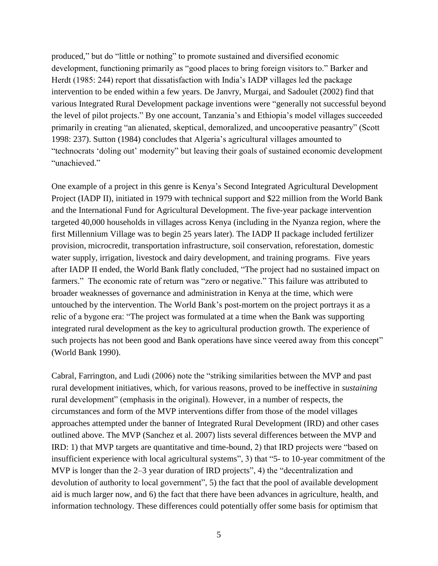produced," but do "little or nothing" to promote sustained and diversified economic development, functioning primarily as "good places to bring foreign visitors to." Barker and Herdt (1985: 244) report that dissatisfaction with India's IADP villages led the package intervention to be ended within a few years. De Janvry, Murgai, and Sadoulet (2002) find that various Integrated Rural Development package inventions were "generally not successful beyond the level of pilot projects.‖ By one account, Tanzania's and Ethiopia's model villages succeeded primarily in creating "an alienated, skeptical, demoralized, and uncooperative peasantry" (Scott 1998: 237). Sutton (1984) concludes that Algeria's agricultural villages amounted to "technocrats 'doling out' modernity" but leaving their goals of sustained economic development "unachieved."

One example of a project in this genre is Kenya's Second Integrated Agricultural Development Project (IADP II), initiated in 1979 with technical support and \$22 million from the World Bank and the International Fund for Agricultural Development. The five-year package intervention targeted 40,000 households in villages across Kenya (including in the Nyanza region, where the first Millennium Village was to begin 25 years later). The IADP II package included fertilizer provision, microcredit, transportation infrastructure, soil conservation, reforestation, domestic water supply, irrigation, livestock and dairy development, and training programs. Five years after IADP II ended, the World Bank flatly concluded, "The project had no sustained impact on farmers." The economic rate of return was "zero or negative." This failure was attributed to broader weaknesses of governance and administration in Kenya at the time, which were untouched by the intervention. The World Bank's post-mortem on the project portrays it as a relic of a bygone era: "The project was formulated at a time when the Bank was supporting integrated rural development as the key to agricultural production growth. The experience of such projects has not been good and Bank operations have since veered away from this concept" (World Bank 1990).

Cabral, Farrington, and Ludi (2006) note the "striking similarities between the MVP and past rural development initiatives, which, for various reasons, proved to be ineffective in *sustaining*  rural development" (emphasis in the original). However, in a number of respects, the circumstances and form of the MVP interventions differ from those of the model villages approaches attempted under the banner of Integrated Rural Development (IRD) and other cases outlined above. The MVP (Sanchez et al. 2007) lists several differences between the MVP and IRD: 1) that MVP targets are quantitative and time-bound, 2) that IRD projects were "based on insufficient experience with local agricultural systems", 3) that "5- to 10-year commitment of the MVP is longer than the  $2-3$  year duration of IRD projects", 4) the "decentralization and devolution of authority to local government", 5) the fact that the pool of available development aid is much larger now, and 6) the fact that there have been advances in agriculture, health, and information technology. These differences could potentially offer some basis for optimism that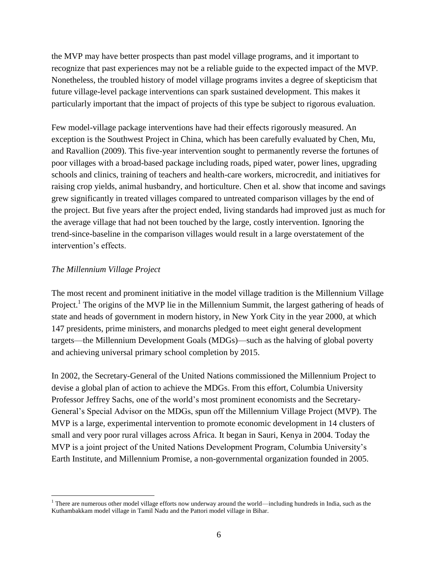the MVP may have better prospects than past model village programs, and it important to recognize that past experiences may not be a reliable guide to the expected impact of the MVP. Nonetheless, the troubled history of model village programs invites a degree of skepticism that future village-level package interventions can spark sustained development. This makes it particularly important that the impact of projects of this type be subject to rigorous evaluation.

Few model-village package interventions have had their effects rigorously measured. An exception is the Southwest Project in China, which has been carefully evaluated by Chen, Mu, and Ravallion (2009). This five-year intervention sought to permanently reverse the fortunes of poor villages with a broad-based package including roads, piped water, power lines, upgrading schools and clinics, training of teachers and health-care workers, microcredit, and initiatives for raising crop yields, animal husbandry, and horticulture. Chen et al. show that income and savings grew significantly in treated villages compared to untreated comparison villages by the end of the project. But five years after the project ended, living standards had improved just as much for the average village that had not been touched by the large, costly intervention. Ignoring the trend-since-baseline in the comparison villages would result in a large overstatement of the intervention's effects.

#### *The Millennium Village Project*

The most recent and prominent initiative in the model village tradition is the Millennium Village Project.<sup>1</sup> The origins of the MVP lie in the Millennium Summit, the largest gathering of heads of state and heads of government in modern history, in New York City in the year 2000, at which 147 presidents, prime ministers, and monarchs pledged to meet eight general development targets—the Millennium Development Goals (MDGs)—such as the halving of global poverty and achieving universal primary school completion by 2015.

In 2002, the Secretary-General of the United Nations commissioned the Millennium Project to devise a global plan of action to achieve the MDGs. From this effort, Columbia University Professor Jeffrey Sachs, one of the world's most prominent economists and the Secretary-General's Special Advisor on the MDGs, spun off the Millennium Village Project (MVP). The MVP is a large, experimental intervention to promote economic development in 14 clusters of small and very poor rural villages across Africa. It began in Sauri, Kenya in 2004. Today the MVP is a joint project of the United Nations Development Program, Columbia University's Earth Institute, and Millennium Promise, a non-governmental organization founded in 2005.

<sup>&</sup>lt;sup>1</sup> There are numerous other model village efforts now underway around the world—including hundreds in India, such as the Kuthambakkam model village in Tamil Nadu and the Pattori model village in Bihar.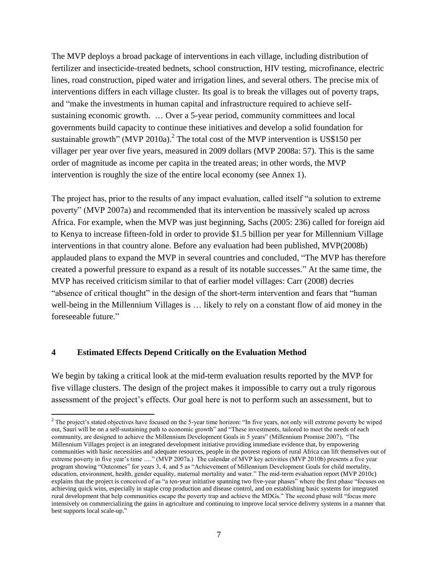The MVP deploys a broad package of interventions in each village, including distribution of fertilizer and insecticide-treated bednets, school construction, HIV testing, microfinance, electric lines, road construction, piped water and irrigation lines, and several others. The precise mix of interventions differs in each village cluster. Its goal is to break the villages out of poverty traps, and "make the investments in human capital and infrastructure required to achieve selfsustaining economic growth. … Over a 5-year period, community committees and local governments build capacity to continue these initiatives and develop a solid foundation for sustainable growth" (MVP 2010a).<sup>2</sup> The total cost of the MVP intervention is US\$150 per villager per year over five years, measured in 2009 dollars (MVP 2008a: 57). This is the same order of magnitude as income per capita in the treated areas; in other words, the MVP intervention is roughly the size of the entire local economy (see Annex 1).

The project has, prior to the results of any impact evaluation, called itself "a solution to extreme" poverty" (MVP 2007a) and recommended that its intervention be massively scaled up across Africa. For example, when the MVP was just beginning, Sachs (2005: 236) called for foreign aid to Kenya to increase fifteen-fold in order to provide \$1.5 billion per year for Millennium Village interventions in that country alone. Before any evaluation had been published, MVP(2008b) applauded plans to expand the MVP in several countries and concluded, "The MVP has therefore created a powerful pressure to expand as a result of its notable successes.‖ At the same time, the MVP has received criticism similar to that of earlier model villages: Carr (2008) decries "absence of critical thought" in the design of the short-term intervention and fears that "human" well-being in the Millennium Villages is … likely to rely on a constant flow of aid money in the foreseeable future."

#### **4 Estimated Effects Depend Critically on the Evaluation Method**

 $\overline{a}$ 

We begin by taking a critical look at the mid-term evaluation results reported by the MVP for five village clusters. The design of the project makes it impossible to carry out a truly rigorous assessment of the project's effects. Our goal here is not to perform such an assessment, but to

<sup>&</sup>lt;sup>2</sup> The project's stated objectives have focused on the 5-year time horizon: "In five years, not only will extreme poverty be wiped out, Sauri will be on a self-sustaining path to economic growth" and "These investments, tailored to meet the needs of each community, are designed to achieve the Millennium Development Goals in 5 years" (Millennium Promise 2007), "The Millennium Villages project is an integrated development initiative providing immediate evidence that, by empowering communities with basic necessities and adequate resources, people in the poorest regions of rural Africa can lift themselves out of extreme poverty in five year's time ...." (MVP 2007a.) The calendar of MVP key activities (MVP 2010b) presents a five year program showing "Outcomes" for years 3, 4, and 5 as "Achievement of Millennium Development Goals for child mortality, education, environment, health, gender equality, maternal mortality and water." The mid-term evaluation report (MVP 2010c) explains that the project is conceived of as "a ten-year initiative spanning two five-year phases" where the first phase "focuses on achieving quick wins, especially in staple crop production and disease control, and on establishing basic systems for integrated rural development that help communities escape the poverty trap and achieve the MDGs." The second phase will "focus more intensively on commercializing the gains in agriculture and continuing to improve local service delivery systems in a manner that best supports local scale-up."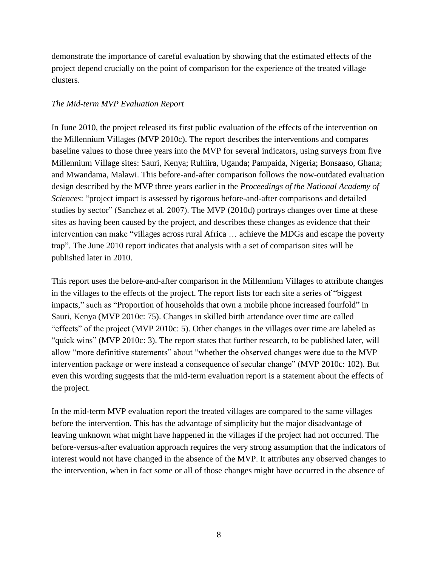demonstrate the importance of careful evaluation by showing that the estimated effects of the project depend crucially on the point of comparison for the experience of the treated village clusters.

#### *The Mid-term MVP Evaluation Report*

In June 2010, the project released its first public evaluation of the effects of the intervention on the Millennium Villages (MVP 2010c). The report describes the interventions and compares baseline values to those three years into the MVP for several indicators, using surveys from five Millennium Village sites: Sauri, Kenya; Ruhiira, Uganda; Pampaida, Nigeria; Bonsaaso, Ghana; and Mwandama, Malawi. This before-and-after comparison follows the now-outdated evaluation design described by the MVP three years earlier in the *Proceedings of the National Academy of Sciences*: "project impact is assessed by rigorous before-and-after comparisons and detailed studies by sector" (Sanchez et al. 2007). The MVP (2010d) portrays changes over time at these sites as having been caused by the project, and describes these changes as evidence that their intervention can make "villages across rural Africa ... achieve the MDGs and escape the poverty trap". The June 2010 report indicates that analysis with a set of comparison sites will be published later in 2010.

This report uses the before-and-after comparison in the Millennium Villages to attribute changes in the villages to the effects of the project. The report lists for each site a series of "biggest" impacts," such as "Proportion of households that own a mobile phone increased fourfold" in Sauri, Kenya (MVP 2010c: 75). Changes in skilled birth attendance over time are called "effects" of the project (MVP 2010c: 5). Other changes in the villages over time are labeled as "quick wins" (MVP 2010c: 3). The report states that further research, to be published later, will allow "more definitive statements" about "whether the observed changes were due to the MVP intervention package or were instead a consequence of secular change" (MVP 2010c: 102). But even this wording suggests that the mid-term evaluation report is a statement about the effects of the project.

In the mid-term MVP evaluation report the treated villages are compared to the same villages before the intervention. This has the advantage of simplicity but the major disadvantage of leaving unknown what might have happened in the villages if the project had not occurred. The before-versus-after evaluation approach requires the very strong assumption that the indicators of interest would not have changed in the absence of the MVP. It attributes any observed changes to the intervention, when in fact some or all of those changes might have occurred in the absence of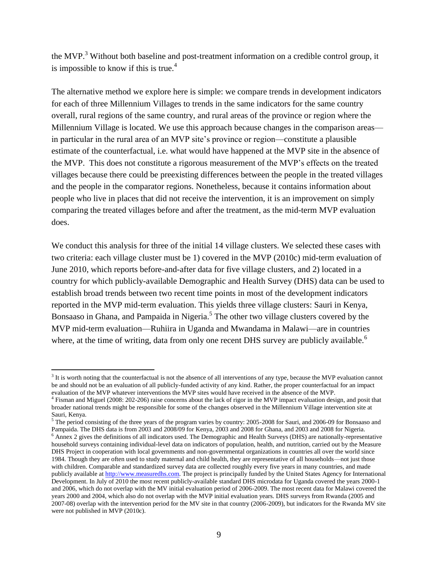the MVP<sup>3</sup>. Without both baseline and post-treatment information on a credible control group, it is impossible to know if this is true.<sup>4</sup>

The alternative method we explore here is simple: we compare trends in development indicators for each of three Millennium Villages to trends in the same indicators for the same country overall, rural regions of the same country, and rural areas of the province or region where the Millennium Village is located. We use this approach because changes in the comparison areas in particular in the rural area of an MVP site's province or region—constitute a plausible estimate of the counterfactual, i.e. what would have happened at the MVP site in the absence of the MVP. This does not constitute a rigorous measurement of the MVP's effects on the treated villages because there could be preexisting differences between the people in the treated villages and the people in the comparator regions. Nonetheless, because it contains information about people who live in places that did not receive the intervention, it is an improvement on simply comparing the treated villages before and after the treatment, as the mid-term MVP evaluation does.

We conduct this analysis for three of the initial 14 village clusters. We selected these cases with two criteria: each village cluster must be 1) covered in the MVP (2010c) mid-term evaluation of June 2010, which reports before-and-after data for five village clusters, and 2) located in a country for which publicly-available Demographic and Health Survey (DHS) data can be used to establish broad trends between two recent time points in most of the development indicators reported in the MVP mid-term evaluation. This yields three village clusters: Sauri in Kenya, Bonsaaso in Ghana, and Pampaida in Nigeria.<sup>5</sup> The other two village clusters covered by the MVP mid-term evaluation—Ruhiira in Uganda and Mwandama in Malawi—are in countries where, at the time of writing, data from only one recent DHS survey are publicly available.<sup>6</sup>

 $3$  It is worth noting that the counterfactual is not the absence of all interventions of any type, because the MVP evaluation cannot be and should not be an evaluation of all publicly-funded activity of any kind. Rather, the proper counterfactual for an impact evaluation of the MVP whatever interventions the MVP sites would have received in the absence of the MVP.

<sup>&</sup>lt;sup>4</sup> Fisman and Miguel (2008: 202-206) raise concerns about the lack of rigor in the MVP impact evaluation design, and posit that broader national trends might be responsible for some of the changes observed in the Millennium Village intervention site at Sauri, Kenya.

<sup>&</sup>lt;sup>5</sup> The period consisting of the three years of the program varies by country: 2005-2008 for Sauri, and 2006-09 for Bonsaaso and Pampaida. The DHS data is from 2003 and 2008/09 for Kenya, 2003 and 2008 for Ghana, and 2003 and 2008 for Nigeria.

<sup>&</sup>lt;sup>6</sup> Annex 2 gives the definitions of all indicators used. The Demographic and Health Surveys (DHS) are nationally-representative household surveys containing individual-level data on indicators of population, health, and nutrition, carried out by the Measure DHS Project in cooperation with local governments and non-governmental organizations in countries all over the world since 1984. Though they are often used to study maternal and child health, they are representative of all households—not just those with children. Comparable and standardized survey data are collected roughly every five years in many countries, and made publicly available at [http://www.measuredhs.com.](http://www.measuredhs.com/) The project is principally funded by the United States Agency for International Development. In July of 2010 the most recent publicly-available standard DHS microdata for Uganda covered the years 2000-1 and 2006, which do not overlap with the MV initial evaluation period of 2006-2009. The most recent data for Malawi covered the years 2000 and 2004, which also do not overlap with the MVP initial evaluation years. DHS surveys from Rwanda (2005 and 2007-08) overlap with the intervention period for the MV site in that country (2006-2009), but indicators for the Rwanda MV site were not published in MVP (2010c).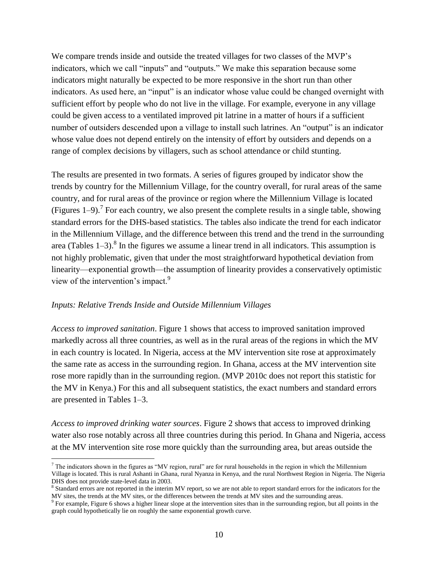We compare trends inside and outside the treated villages for two classes of the MVP's indicators, which we call "inputs" and "outputs." We make this separation because some indicators might naturally be expected to be more responsive in the short run than other indicators. As used here, an "input" is an indicator whose value could be changed overnight with sufficient effort by people who do not live in the village. For example, everyone in any village could be given access to a ventilated improved pit latrine in a matter of hours if a sufficient number of outsiders descended upon a village to install such latrines. An "output" is an indicator whose value does not depend entirely on the intensity of effort by outsiders and depends on a range of complex decisions by villagers, such as school attendance or child stunting.

The results are presented in two formats. A series of figures grouped by indicator show the trends by country for the Millennium Village, for the country overall, for rural areas of the same country, and for rural areas of the province or region where the Millennium Village is located (Figures 1–9).<sup>7</sup> For each country, we also present the complete results in a single table, showing standard errors for the DHS-based statistics. The tables also indicate the trend for each indicator in the Millennium Village, and the difference between this trend and the trend in the surrounding area (Tables  $1-3$ ).<sup>8</sup> In the figures we assume a linear trend in all indicators. This assumption is not highly problematic, given that under the most straightforward hypothetical deviation from linearity—exponential growth—the assumption of linearity provides a conservatively optimistic view of the intervention's impact.<sup>9</sup>

#### *Inputs: Relative Trends Inside and Outside Millennium Villages*

 $\overline{a}$ 

*Access to improved sanitation*. Figure 1 shows that access to improved sanitation improved markedly across all three countries, as well as in the rural areas of the regions in which the MV in each country is located. In Nigeria, access at the MV intervention site rose at approximately the same rate as access in the surrounding region. In Ghana, access at the MV intervention site rose more rapidly than in the surrounding region. (MVP 2010c does not report this statistic for the MV in Kenya.) For this and all subsequent statistics, the exact numbers and standard errors are presented in Tables 1–3.

*Access to improved drinking water sources*. Figure 2 shows that access to improved drinking water also rose notably across all three countries during this period. In Ghana and Nigeria, access at the MV intervention site rose more quickly than the surrounding area, but areas outside the

<sup>&</sup>lt;sup>7</sup> The indicators shown in the figures as "MV region, rural" are for rural households in the region in which the Millennium Village is located. This is rural Ashanti in Ghana, rural Nyanza in Kenya, and the rural Northwest Region in Nigeria. The Nigeria DHS does not provide state-level data in 2003.

<sup>&</sup>lt;sup>8</sup> Standard errors are not reported in the interim MV report, so we are not able to report standard errors for the indicators for the MV sites, the trends at the MV sites, or the differences between the trends at MV sites and the surrounding areas.

 $9$  For example, Figure 6 shows a higher linear slope at the intervention sites than in the surrounding region, but all points in the graph could hypothetically lie on roughly the same exponential growth curve.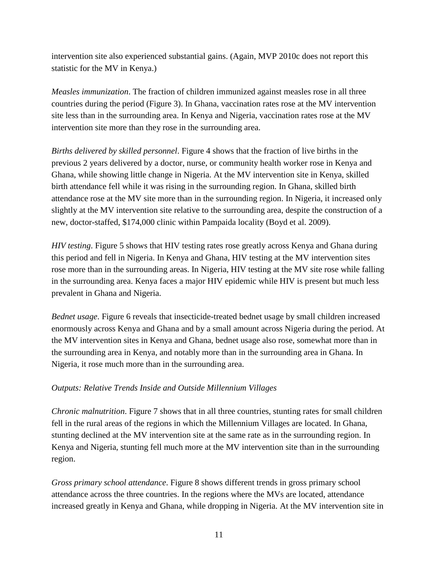intervention site also experienced substantial gains. (Again, MVP 2010c does not report this statistic for the MV in Kenya.)

*Measles immunization*. The fraction of children immunized against measles rose in all three countries during the period (Figure 3). In Ghana, vaccination rates rose at the MV intervention site less than in the surrounding area. In Kenya and Nigeria, vaccination rates rose at the MV intervention site more than they rose in the surrounding area.

*Births delivered by skilled personnel*. Figure 4 shows that the fraction of live births in the previous 2 years delivered by a doctor, nurse, or community health worker rose in Kenya and Ghana, while showing little change in Nigeria. At the MV intervention site in Kenya, skilled birth attendance fell while it was rising in the surrounding region. In Ghana, skilled birth attendance rose at the MV site more than in the surrounding region. In Nigeria, it increased only slightly at the MV intervention site relative to the surrounding area, despite the construction of a new, doctor-staffed, \$174,000 clinic within Pampaida locality (Boyd et al. 2009).

*HIV testing*. Figure 5 shows that HIV testing rates rose greatly across Kenya and Ghana during this period and fell in Nigeria. In Kenya and Ghana, HIV testing at the MV intervention sites rose more than in the surrounding areas. In Nigeria, HIV testing at the MV site rose while falling in the surrounding area. Kenya faces a major HIV epidemic while HIV is present but much less prevalent in Ghana and Nigeria.

*Bednet usage*. Figure 6 reveals that insecticide-treated bednet usage by small children increased enormously across Kenya and Ghana and by a small amount across Nigeria during the period. At the MV intervention sites in Kenya and Ghana, bednet usage also rose, somewhat more than in the surrounding area in Kenya, and notably more than in the surrounding area in Ghana. In Nigeria, it rose much more than in the surrounding area.

#### *Outputs: Relative Trends Inside and Outside Millennium Villages*

*Chronic malnutrition*. Figure 7 shows that in all three countries, stunting rates for small children fell in the rural areas of the regions in which the Millennium Villages are located. In Ghana, stunting declined at the MV intervention site at the same rate as in the surrounding region. In Kenya and Nigeria, stunting fell much more at the MV intervention site than in the surrounding region.

*Gross primary school attendance*. Figure 8 shows different trends in gross primary school attendance across the three countries. In the regions where the MVs are located, attendance increased greatly in Kenya and Ghana, while dropping in Nigeria. At the MV intervention site in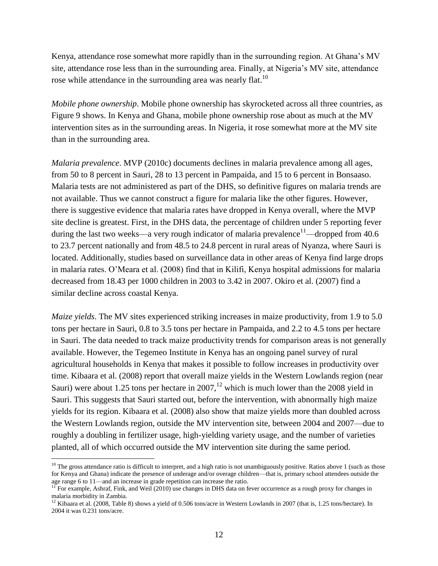Kenya, attendance rose somewhat more rapidly than in the surrounding region. At Ghana's MV site, attendance rose less than in the surrounding area. Finally, at Nigeria's MV site, attendance rose while attendance in the surrounding area was nearly flat.<sup>10</sup>

*Mobile phone ownership*. Mobile phone ownership has skyrocketed across all three countries, as Figure 9 shows. In Kenya and Ghana, mobile phone ownership rose about as much at the MV intervention sites as in the surrounding areas. In Nigeria, it rose somewhat more at the MV site than in the surrounding area.

*Malaria prevalence*. MVP (2010c) documents declines in malaria prevalence among all ages, from 50 to 8 percent in Sauri, 28 to 13 percent in Pampaida, and 15 to 6 percent in Bonsaaso. Malaria tests are not administered as part of the DHS, so definitive figures on malaria trends are not available. Thus we cannot construct a figure for malaria like the other figures. However, there is suggestive evidence that malaria rates have dropped in Kenya overall, where the MVP site decline is greatest. First, in the DHS data, the percentage of children under 5 reporting fever during the last two weeks—a very rough indicator of malaria prevalence<sup>11</sup>—dropped from 40.6 to 23.7 percent nationally and from 48.5 to 24.8 percent in rural areas of Nyanza, where Sauri is located. Additionally, studies based on surveillance data in other areas of Kenya find large drops in malaria rates. O'Meara et al. (2008) find that in Kilifi, Kenya hospital admissions for malaria decreased from 18.43 per 1000 children in 2003 to 3.42 in 2007. Okiro et al. (2007) find a similar decline across coastal Kenya.

*Maize yields*. The MV sites experienced striking increases in maize productivity, from 1.9 to 5.0 tons per hectare in Sauri, 0.8 to 3.5 tons per hectare in Pampaida, and 2.2 to 4.5 tons per hectare in Sauri. The data needed to track maize productivity trends for comparison areas is not generally available. However, the Tegemeo Institute in Kenya has an ongoing panel survey of rural agricultural households in Kenya that makes it possible to follow increases in productivity over time. Kibaara et al. (2008) report that overall maize yields in the Western Lowlands region (near Sauri) were about 1.25 tons per hectare in  $2007$ ,<sup>12</sup> which is much lower than the 2008 yield in Sauri. This suggests that Sauri started out, before the intervention, with abnormally high maize yields for its region. Kibaara et al. (2008) also show that maize yields more than doubled across the Western Lowlands region, outside the MV intervention site, between 2004 and 2007—due to roughly a doubling in fertilizer usage, high-yielding variety usage, and the number of varieties planted, all of which occurred outside the MV intervention site during the same period.

 $10$  The gross attendance ratio is difficult to interpret, and a high ratio is not unambiguously positive. Ratios above 1 (such as those for Kenya and Ghana) indicate the presence of underage and/or overage children—that is, primary school attendees outside the age range 6 to 11—and an increase in grade repetition can increase the ratio.

 $1<sup>T</sup>$  For example, Ashraf, Fink, and Weil (2010) use changes in DHS data on fever occurrence as a rough proxy for changes in malaria morbidity in Zambia.

 $12$  Kibaara et al. (2008, Table 8) shows a yield of 0.506 tons/acre in Western Lowlands in 2007 (that is, 1.25 tons/hectare). In 2004 it was 0.231 tons/acre.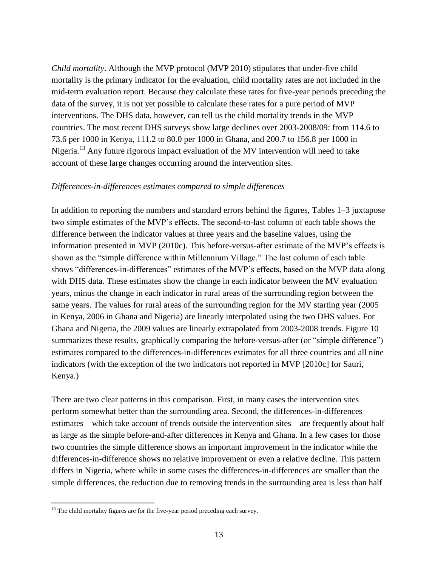*Child mortality*. Although the MVP protocol (MVP 2010) stipulates that under-five child mortality is the primary indicator for the evaluation, child mortality rates are not included in the mid-term evaluation report. Because they calculate these rates for five-year periods preceding the data of the survey, it is not yet possible to calculate these rates for a pure period of MVP interventions. The DHS data, however, can tell us the child mortality trends in the MVP countries. The most recent DHS surveys show large declines over 2003-2008/09: from 114.6 to 73.6 per 1000 in Kenya, 111.2 to 80.0 per 1000 in Ghana, and 200.7 to 156.8 per 1000 in Nigeria.<sup>13</sup> Any future rigorous impact evaluation of the MV intervention will need to take account of these large changes occurring around the intervention sites.

#### *Differences-in-differences estimates compared to simple differences*

In addition to reporting the numbers and standard errors behind the figures, Tables 1–3 juxtapose two simple estimates of the MVP's effects. The second-to-last column of each table shows the difference between the indicator values at three years and the baseline values, using the information presented in MVP (2010c). This before-versus-after estimate of the MVP's effects is shown as the "simple difference within Millennium Village." The last column of each table shows "differences-in-differences" estimates of the MVP's effects, based on the MVP data along with DHS data. These estimates show the change in each indicator between the MV evaluation years, minus the change in each indicator in rural areas of the surrounding region between the same years. The values for rural areas of the surrounding region for the MV starting year (2005 in Kenya, 2006 in Ghana and Nigeria) are linearly interpolated using the two DHS values. For Ghana and Nigeria, the 2009 values are linearly extrapolated from 2003-2008 trends. Figure 10 summarizes these results, graphically comparing the before-versus-after (or "simple difference") estimates compared to the differences-in-differences estimates for all three countries and all nine indicators (with the exception of the two indicators not reported in MVP [2010c] for Sauri, Kenya.)

There are two clear patterns in this comparison. First, in many cases the intervention sites perform somewhat better than the surrounding area. Second, the differences-in-differences estimates—which take account of trends outside the intervention sites—are frequently about half as large as the simple before-and-after differences in Kenya and Ghana. In a few cases for those two countries the simple difference shows an important improvement in the indicator while the differences-in-difference shows no relative improvement or even a relative decline. This pattern differs in Nigeria, where while in some cases the differences-in-differences are smaller than the simple differences, the reduction due to removing trends in the surrounding area is less than half

 $13$  The child mortality figures are for the five-year period preceding each survey.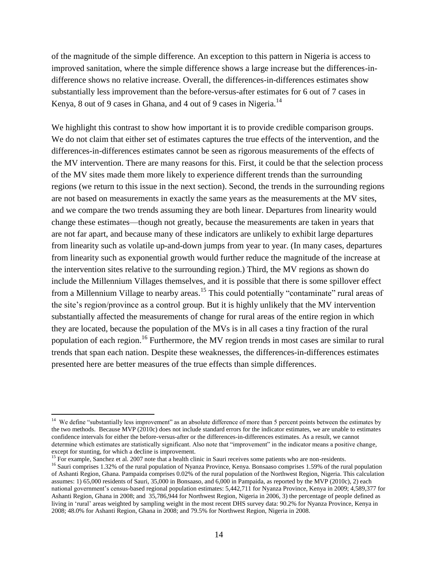of the magnitude of the simple difference. An exception to this pattern in Nigeria is access to improved sanitation, where the simple difference shows a large increase but the differences-indifference shows no relative increase. Overall, the differences-in-differences estimates show substantially less improvement than the before-versus-after estimates for 6 out of 7 cases in Kenya, 8 out of 9 cases in Ghana, and 4 out of 9 cases in Nigeria.<sup>14</sup>

We highlight this contrast to show how important it is to provide credible comparison groups. We do not claim that either set of estimates captures the true effects of the intervention, and the differences-in-differences estimates cannot be seen as rigorous measurements of the effects of the MV intervention. There are many reasons for this. First, it could be that the selection process of the MV sites made them more likely to experience different trends than the surrounding regions (we return to this issue in the next section). Second, the trends in the surrounding regions are not based on measurements in exactly the same years as the measurements at the MV sites, and we compare the two trends assuming they are both linear. Departures from linearity would change these estimates—though not greatly, because the measurements are taken in years that are not far apart, and because many of these indicators are unlikely to exhibit large departures from linearity such as volatile up-and-down jumps from year to year. (In many cases, departures from linearity such as exponential growth would further reduce the magnitude of the increase at the intervention sites relative to the surrounding region.) Third, the MV regions as shown do include the Millennium Villages themselves, and it is possible that there is some spillover effect from a Millennium Village to nearby areas.<sup>15</sup> This could potentially "contaminate" rural areas of the site's region/province as a control group. But it is highly unlikely that the MV intervention substantially affected the measurements of change for rural areas of the entire region in which they are located, because the population of the MVs is in all cases a tiny fraction of the rural population of each region.<sup>16</sup> Furthermore, the MV region trends in most cases are similar to rural trends that span each nation. Despite these weaknesses, the differences-in-differences estimates presented here are better measures of the true effects than simple differences.

<sup>&</sup>lt;sup>14</sup> We define "substantially less improvement" as an absolute difference of more than 5 percent points between the estimates by the two methods. Because MVP (2010c) does not include standard errors for the indicator estimates, we are unable to estimates confidence intervals for either the before-versus-after or the differences-in-differences estimates. As a result, we cannot determine which estimates are statistically significant. Also note that "improvement" in the indicator means a positive change, except for stunting, for which a decline is improvement.

<sup>&</sup>lt;sup>15</sup> For example, Sanchez et al. 2007 note that a health clinic in Sauri receives some patients who are non-residents.

<sup>&</sup>lt;sup>16</sup> Sauri comprises 1.32% of the rural population of Nyanza Province, Kenya. Bonsaaso comprises 1.59% of the rural population of Ashanti Region, Ghana. Pampaida comprises 0.02% of the rural population of the Northwest Region, Nigeria. This calculation assumes: 1) 65,000 residents of Sauri, 35,000 in Bonsaaso, and 6,000 in Pampaida, as reported by the MVP (2010c), 2) each national government's census-based regional population estimates: 5,442,711 for Nyanza Province, Kenya in 2009; 4,589,377 for Ashanti Region, Ghana in 2008; and 35,786,944 for Northwest Region, Nigeria in 2006, 3) the percentage of people defined as living in 'rural' areas weighted by sampling weight in the most recent DHS survey data: 90.2% for Nyanza Province, Kenya in 2008; 48.0% for Ashanti Region, Ghana in 2008; and 79.5% for Northwest Region, Nigeria in 2008.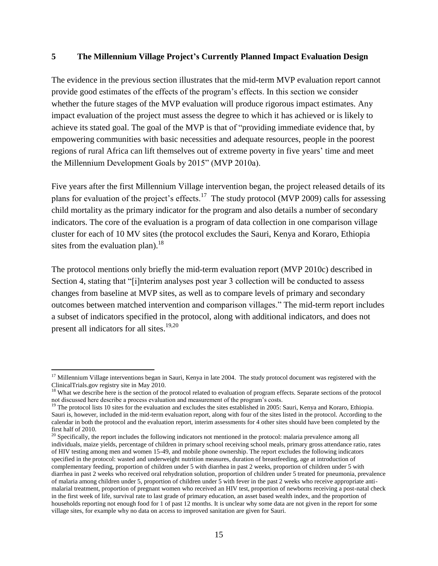#### **5 The Millennium Village Project's Currently Planned Impact Evaluation Design**

The evidence in the previous section illustrates that the mid-term MVP evaluation report cannot provide good estimates of the effects of the program's effects. In this section we consider whether the future stages of the MVP evaluation will produce rigorous impact estimates. Any impact evaluation of the project must assess the degree to which it has achieved or is likely to achieve its stated goal. The goal of the MVP is that of "providing immediate evidence that, by empowering communities with basic necessities and adequate resources, people in the poorest regions of rural Africa can lift themselves out of extreme poverty in five years' time and meet the Millennium Development Goals by 2015" (MVP 2010a).

Five years after the first Millennium Village intervention began, the project released details of its plans for evaluation of the project's effects.<sup>17</sup> The study protocol (MVP 2009) calls for assessing child mortality as the primary indicator for the program and also details a number of secondary indicators. The core of the evaluation is a program of data collection in one comparison village cluster for each of 10 MV sites (the protocol excludes the Sauri, Kenya and Koraro, Ethiopia sites from the evaluation plan). $^{18}$ 

The protocol mentions only briefly the mid-term evaluation report (MVP 2010c) described in Section 4, stating that "[i]nterim analyses post year 3 collection will be conducted to assess changes from baseline at MVP sites, as well as to compare levels of primary and secondary outcomes between matched intervention and comparison villages.‖ The mid-term report includes a subset of indicators specified in the protocol, along with additional indicators, and does not present all indicators for all sites.<sup>19,20</sup>

 $\overline{a}$ 

<sup>20</sup> Specifically, the report includes the following indicators not mentioned in the protocol: malaria prevalence among all individuals, maize yields, percentage of children in primary school receiving school meals, primary gross attendance ratio, rates of HIV testing among men and women 15-49, and mobile phone ownership. The report excludes the following indicators specified in the protocol: wasted and underweight nutrition measures, duration of breastfeeding, age at introduction of complementary feeding, proportion of children under 5 with diarrhea in past 2 weeks, proportion of children under 5 with diarrhea in past 2 weeks who received oral rehydration solution, proportion of children under 5 treated for pneumonia, prevalence of malaria among children under 5, proportion of children under 5 with fever in the past 2 weeks who receive appropriate antimalarial treatment, proportion of pregnant women who received an HIV test, proportion of newborns receiving a post-natal check in the first week of life, survival rate to last grade of primary education, an asset based wealth index, and the proportion of households reporting not enough food for 1 of past 12 months. It is unclear why some data are not given in the report for some village sites, for example why no data on access to improved sanitation are given for Sauri.

 $17$  Millennium Village interventions began in Sauri, Kenya in late 2004. The study protocol document was registered with the ClinicalTrials.gov registry site in May 2010.

<sup>&</sup>lt;sup>18</sup> What we describe here is the section of the protocol related to evaluation of program effects. Separate sections of the protocol not discussed here describe a process evaluation and measurement of the program's costs.

<sup>&</sup>lt;sup>19</sup> The protocol lists 10 sites for the evaluation and excludes the sites established in 2005: Sauri, Kenya and Koraro, Ethiopia. Sauri is, however, included in the mid-term evaluation report, along with four of the sites listed in the protocol. According to the calendar in both the protocol and the evaluation report, interim assessments for 4 other sites should have been completed by the first half of 2010.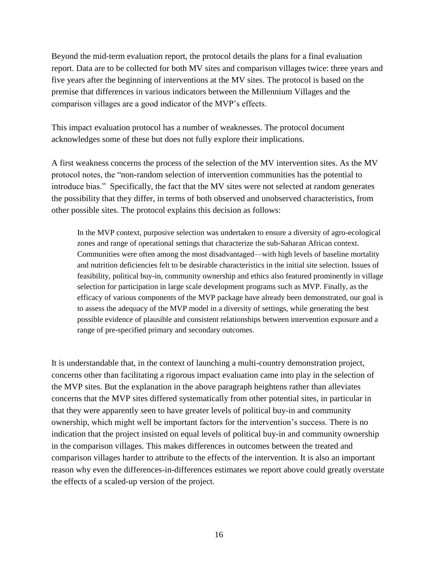Beyond the mid-term evaluation report, the protocol details the plans for a final evaluation report. Data are to be collected for both MV sites and comparison villages twice: three years and five years after the beginning of interventions at the MV sites. The protocol is based on the premise that differences in various indicators between the Millennium Villages and the comparison villages are a good indicator of the MVP's effects.

This impact evaluation protocol has a number of weaknesses. The protocol document acknowledges some of these but does not fully explore their implications.

A first weakness concerns the process of the selection of the MV intervention sites. As the MV protocol notes, the "non-random selection of intervention communities has the potential to introduce bias." Specifically, the fact that the MV sites were not selected at random generates the possibility that they differ, in terms of both observed and unobserved characteristics, from other possible sites. The protocol explains this decision as follows:

In the MVP context, purposive selection was undertaken to ensure a diversity of agro-ecological zones and range of operational settings that characterize the sub-Saharan African context. Communities were often among the most disadvantaged—with high levels of baseline mortality and nutrition deficiencies felt to be desirable characteristics in the initial site selection. Issues of feasibility, political buy-in, community ownership and ethics also featured prominently in village selection for participation in large scale development programs such as MVP. Finally, as the efficacy of various components of the MVP package have already been demonstrated, our goal is to assess the adequacy of the MVP model in a diversity of settings, while generating the best possible evidence of plausible and consistent relationships between intervention exposure and a range of pre-specified primary and secondary outcomes.

It is understandable that, in the context of launching a multi-country demonstration project, concerns other than facilitating a rigorous impact evaluation came into play in the selection of the MVP sites. But the explanation in the above paragraph heightens rather than alleviates concerns that the MVP sites differed systematically from other potential sites, in particular in that they were apparently seen to have greater levels of political buy-in and community ownership, which might well be important factors for the intervention's success. There is no indication that the project insisted on equal levels of political buy-in and community ownership in the comparison villages. This makes differences in outcomes between the treated and comparison villages harder to attribute to the effects of the intervention. It is also an important reason why even the differences-in-differences estimates we report above could greatly overstate the effects of a scaled-up version of the project.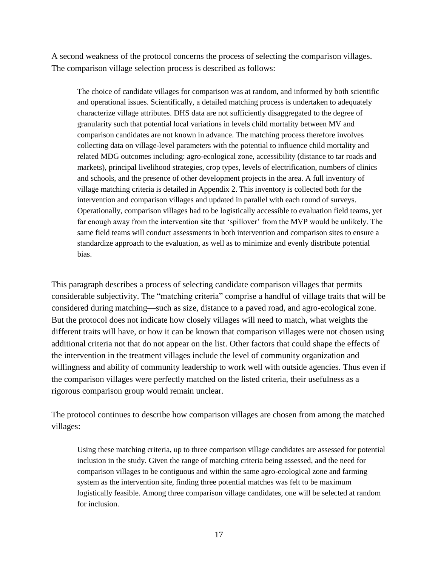A second weakness of the protocol concerns the process of selecting the comparison villages. The comparison village selection process is described as follows:

The choice of candidate villages for comparison was at random, and informed by both scientific and operational issues. Scientifically, a detailed matching process is undertaken to adequately characterize village attributes. DHS data are not sufficiently disaggregated to the degree of granularity such that potential local variations in levels child mortality between MV and comparison candidates are not known in advance. The matching process therefore involves collecting data on village-level parameters with the potential to influence child mortality and related MDG outcomes including: agro-ecological zone, accessibility (distance to tar roads and markets), principal livelihood strategies, crop types, levels of electrification, numbers of clinics and schools, and the presence of other development projects in the area. A full inventory of village matching criteria is detailed in Appendix 2. This inventory is collected both for the intervention and comparison villages and updated in parallel with each round of surveys. Operationally, comparison villages had to be logistically accessible to evaluation field teams, yet far enough away from the intervention site that 'spillover' from the MVP would be unlikely. The same field teams will conduct assessments in both intervention and comparison sites to ensure a standardize approach to the evaluation, as well as to minimize and evenly distribute potential bias.

This paragraph describes a process of selecting candidate comparison villages that permits considerable subjectivity. The "matching criteria" comprise a handful of village traits that will be considered during matching—such as size, distance to a paved road, and agro-ecological zone. But the protocol does not indicate how closely villages will need to match, what weights the different traits will have, or how it can be known that comparison villages were not chosen using additional criteria not that do not appear on the list. Other factors that could shape the effects of the intervention in the treatment villages include the level of community organization and willingness and ability of community leadership to work well with outside agencies. Thus even if the comparison villages were perfectly matched on the listed criteria, their usefulness as a rigorous comparison group would remain unclear.

The protocol continues to describe how comparison villages are chosen from among the matched villages:

Using these matching criteria, up to three comparison village candidates are assessed for potential inclusion in the study. Given the range of matching criteria being assessed, and the need for comparison villages to be contiguous and within the same agro-ecological zone and farming system as the intervention site, finding three potential matches was felt to be maximum logistically feasible. Among three comparison village candidates, one will be selected at random for inclusion.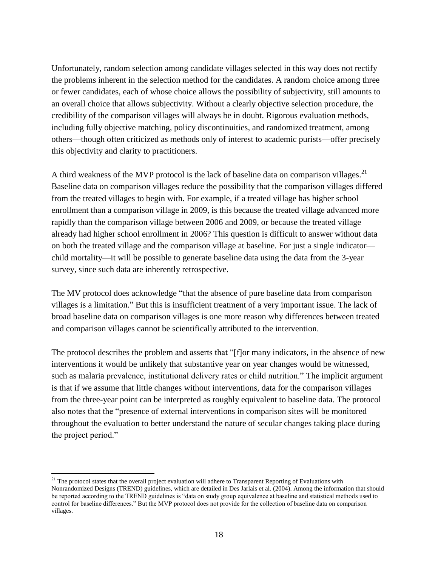Unfortunately, random selection among candidate villages selected in this way does not rectify the problems inherent in the selection method for the candidates. A random choice among three or fewer candidates, each of whose choice allows the possibility of subjectivity, still amounts to an overall choice that allows subjectivity. Without a clearly objective selection procedure, the credibility of the comparison villages will always be in doubt. Rigorous evaluation methods, including fully objective matching, policy discontinuities, and randomized treatment, among others—though often criticized as methods only of interest to academic purists—offer precisely this objectivity and clarity to practitioners.

A third weakness of the MVP protocol is the lack of baseline data on comparison villages.<sup>21</sup> Baseline data on comparison villages reduce the possibility that the comparison villages differed from the treated villages to begin with. For example, if a treated village has higher school enrollment than a comparison village in 2009, is this because the treated village advanced more rapidly than the comparison village between 2006 and 2009, or because the treated village already had higher school enrollment in 2006? This question is difficult to answer without data on both the treated village and the comparison village at baseline. For just a single indicator child mortality—it will be possible to generate baseline data using the data from the 3-year survey, since such data are inherently retrospective.

The MV protocol does acknowledge "that the absence of pure baseline data from comparison villages is a limitation.‖ But this is insufficient treatment of a very important issue. The lack of broad baseline data on comparison villages is one more reason why differences between treated and comparison villages cannot be scientifically attributed to the intervention.

The protocol describes the problem and asserts that "[f]or many indicators, in the absence of new interventions it would be unlikely that substantive year on year changes would be witnessed, such as malaria prevalence, institutional delivery rates or child nutrition." The implicit argument is that if we assume that little changes without interventions, data for the comparison villages from the three-year point can be interpreted as roughly equivalent to baseline data. The protocol also notes that the "presence of external interventions in comparison sites will be monitored throughout the evaluation to better understand the nature of secular changes taking place during the project period."

 $\overline{a}$ <sup>21</sup> The protocol states that the overall project evaluation will adhere to Transparent Reporting of Evaluations with Nonrandomized Designs (TREND) guidelines, which are detailed in Des Jarlais et al. (2004). Among the information that should be reported according to the TREND guidelines is "data on study group equivalence at baseline and statistical methods used to control for baseline differences." But the MVP protocol does not provide for the collection of baseline data on comparison villages.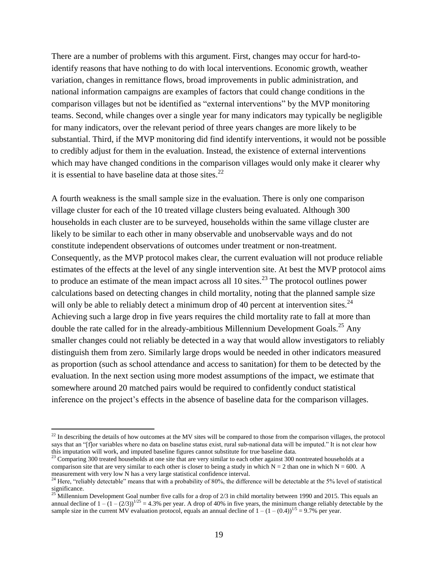There are a number of problems with this argument. First, changes may occur for hard-toidentify reasons that have nothing to do with local interventions. Economic growth, weather variation, changes in remittance flows, broad improvements in public administration, and national information campaigns are examples of factors that could change conditions in the comparison villages but not be identified as "external interventions" by the MVP monitoring teams. Second, while changes over a single year for many indicators may typically be negligible for many indicators, over the relevant period of three years changes are more likely to be substantial. Third, if the MVP monitoring did find identify interventions, it would not be possible to credibly adjust for them in the evaluation. Instead, the existence of external interventions which may have changed conditions in the comparison villages would only make it clearer why it is essential to have baseline data at those sites.<sup>22</sup>

A fourth weakness is the small sample size in the evaluation. There is only one comparison village cluster for each of the 10 treated village clusters being evaluated. Although 300 households in each cluster are to be surveyed, households within the same village cluster are likely to be similar to each other in many observable and unobservable ways and do not constitute independent observations of outcomes under treatment or non-treatment. Consequently, as the MVP protocol makes clear, the current evaluation will not produce reliable estimates of the effects at the level of any single intervention site. At best the MVP protocol aims to produce an estimate of the mean impact across all 10 sites.<sup>23</sup> The protocol outlines power calculations based on detecting changes in child mortality, noting that the planned sample size will only be able to reliably detect a minimum drop of 40 percent at intervention sites.<sup>24</sup> Achieving such a large drop in five years requires the child mortality rate to fall at more than double the rate called for in the already-ambitious Millennium Development Goals.<sup>25</sup> Any smaller changes could not reliably be detected in a way that would allow investigators to reliably distinguish them from zero. Similarly large drops would be needed in other indicators measured as proportion (such as school attendance and access to sanitation) for them to be detected by the evaluation. In the next section using more modest assumptions of the impact, we estimate that somewhere around 20 matched pairs would be required to confidently conduct statistical inference on the project's effects in the absence of baseline data for the comparison villages.

 $22$  In describing the details of how outcomes at the MV sites will be compared to those from the comparison villages, the protocol says that an "[f]or variables where no data on baseline status exist, rural sub-national data will be imputed." It is not clear how this imputation will work, and imputed baseline figures cannot substitute for true baseline data.

 $23$  Comparing 300 treated households at one site that are very similar to each other against 300 nontreated households at a comparison site that are very similar to each other is closer to being a study in which  $N = 2$  than one in which  $N = 600$ . A measurement with very low N has a very large statistical confidence interval.

<sup>&</sup>lt;sup>24</sup> Here, "reliably detectable" means that with a probability of 80%, the difference will be detectable at the 5% level of statistical significance.

<sup>&</sup>lt;sup>25</sup> Millennium Development Goal number five calls for a drop of  $2/3$  in child mortality between 1990 and 2015. This equals an annual decline of  $1-(1-(2/3))^{1/25} = 4.3%$  per year. A drop of 40% in five years, the minimum change reliably detectable by the sample size in the current MV evaluation protocol, equals an annual decline of  $1 - (1 - (0.4))^{1/5} = 9.7\%$  per year.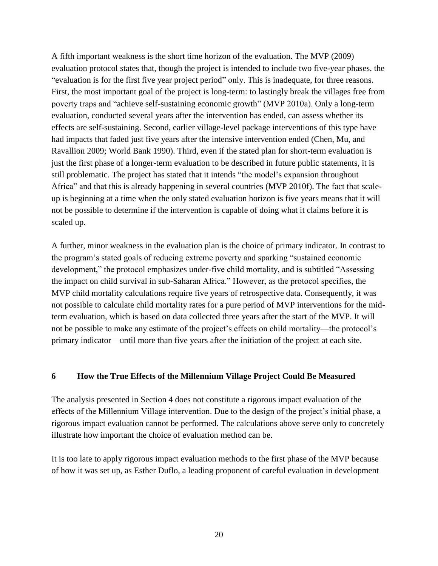A fifth important weakness is the short time horizon of the evaluation. The MVP (2009) evaluation protocol states that, though the project is intended to include two five-year phases, the "evaluation is for the first five year project period" only. This is inadequate, for three reasons. First, the most important goal of the project is long-term: to lastingly break the villages free from poverty traps and "achieve self-sustaining economic growth" (MVP 2010a). Only a long-term evaluation, conducted several years after the intervention has ended, can assess whether its effects are self-sustaining. Second, earlier village-level package interventions of this type have had impacts that faded just five years after the intensive intervention ended (Chen, Mu, and Ravallion 2009; World Bank 1990). Third, even if the stated plan for short-term evaluation is just the first phase of a longer-term evaluation to be described in future public statements, it is still problematic. The project has stated that it intends "the model's expansion throughout Africa" and that this is already happening in several countries (MVP 2010f). The fact that scaleup is beginning at a time when the only stated evaluation horizon is five years means that it will not be possible to determine if the intervention is capable of doing what it claims before it is scaled up.

A further, minor weakness in the evaluation plan is the choice of primary indicator. In contrast to the program's stated goals of reducing extreme poverty and sparking "sustained economic development," the protocol emphasizes under-five child mortality, and is subtitled "Assessing" the impact on child survival in sub-Saharan Africa.‖ However, as the protocol specifies, the MVP child mortality calculations require five years of retrospective data. Consequently, it was not possible to calculate child mortality rates for a pure period of MVP interventions for the midterm evaluation, which is based on data collected three years after the start of the MVP. It will not be possible to make any estimate of the project's effects on child mortality—the protocol's primary indicator—until more than five years after the initiation of the project at each site.

#### **6 How the True Effects of the Millennium Village Project Could Be Measured**

The analysis presented in Section 4 does not constitute a rigorous impact evaluation of the effects of the Millennium Village intervention. Due to the design of the project's initial phase, a rigorous impact evaluation cannot be performed. The calculations above serve only to concretely illustrate how important the choice of evaluation method can be.

It is too late to apply rigorous impact evaluation methods to the first phase of the MVP because of how it was set up, as Esther Duflo, a leading proponent of careful evaluation in development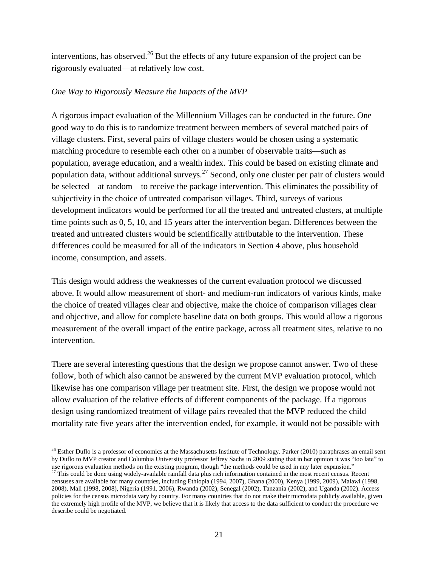interventions, has observed.<sup>26</sup> But the effects of any future expansion of the project can be rigorously evaluated—at relatively low cost.

#### *One Way to Rigorously Measure the Impacts of the MVP*

 $\overline{a}$ 

A rigorous impact evaluation of the Millennium Villages can be conducted in the future. One good way to do this is to randomize treatment between members of several matched pairs of village clusters. First, several pairs of village clusters would be chosen using a systematic matching procedure to resemble each other on a number of observable traits—such as population, average education, and a wealth index. This could be based on existing climate and population data, without additional surveys.<sup>27</sup> Second, only one cluster per pair of clusters would be selected—at random—to receive the package intervention. This eliminates the possibility of subjectivity in the choice of untreated comparison villages. Third, surveys of various development indicators would be performed for all the treated and untreated clusters, at multiple time points such as 0, 5, 10, and 15 years after the intervention began. Differences between the treated and untreated clusters would be scientifically attributable to the intervention. These differences could be measured for all of the indicators in Section 4 above, plus household income, consumption, and assets.

This design would address the weaknesses of the current evaluation protocol we discussed above. It would allow measurement of short- and medium-run indicators of various kinds, make the choice of treated villages clear and objective, make the choice of comparison villages clear and objective, and allow for complete baseline data on both groups. This would allow a rigorous measurement of the overall impact of the entire package, across all treatment sites, relative to no intervention.

There are several interesting questions that the design we propose cannot answer. Two of these follow, both of which also cannot be answered by the current MVP evaluation protocol, which likewise has one comparison village per treatment site. First, the design we propose would not allow evaluation of the relative effects of different components of the package. If a rigorous design using randomized treatment of village pairs revealed that the MVP reduced the child mortality rate five years after the intervention ended, for example, it would not be possible with

 $^{26}$  Esther Duflo is a professor of economics at the Massachusetts Institute of Technology. Parker (2010) paraphrases an email sent by Duflo to MVP creator and Columbia University professor Jeffrey Sachs in 2009 stating that in her opinion it was "too late" to use rigorous evaluation methods on the existing program, though "the methods could be used in any later expansion."

 $^{27}$  This could be done using widely-available rainfall data plus rich information contained in the most recent census. Recent censuses are available for many countries, including Ethiopia (1994, 2007), Ghana (2000), Kenya (1999, 2009), Malawi (1998, 2008), Mali (1998, 2008), Nigeria (1991, 2006), Rwanda (2002), Senegal (2002), Tanzania (2002), and Uganda (2002). Access policies for the census microdata vary by country. For many countries that do not make their microdata publicly available, given the extremely high profile of the MVP, we believe that it is likely that access to the data sufficient to conduct the procedure we describe could be negotiated.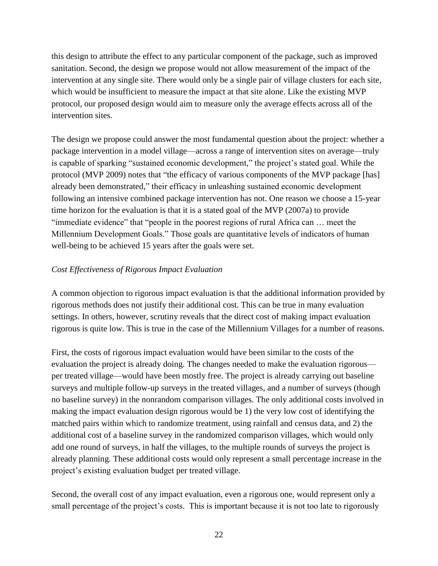this design to attribute the effect to any particular component of the package, such as improved sanitation. Second, the design we propose would not allow measurement of the impact of the intervention at any single site. There would only be a single pair of village clusters for each site, which would be insufficient to measure the impact at that site alone. Like the existing MVP protocol, our proposed design would aim to measure only the average effects across all of the intervention sites.

The design we propose could answer the most fundamental question about the project: whether a package intervention in a model village—across a range of intervention sites on average—truly is capable of sparking "sustained economic development," the project's stated goal. While the protocol (MVP 2009) notes that "the efficacy of various components of the MVP package [has] already been demonstrated," their efficacy in unleashing sustained economic development following an intensive combined package intervention has not. One reason we choose a 15-year time horizon for the evaluation is that it is a stated goal of the MVP (2007a) to provide "immediate evidence" that "people in the poorest regions of rural Africa can ... meet the Millennium Development Goals." Those goals are quantitative levels of indicators of human well-being to be achieved 15 years after the goals were set.

#### *Cost Effectiveness of Rigorous Impact Evaluation*

A common objection to rigorous impact evaluation is that the additional information provided by rigorous methods does not justify their additional cost. This can be true in many evaluation settings. In others, however, scrutiny reveals that the direct cost of making impact evaluation rigorous is quite low. This is true in the case of the Millennium Villages for a number of reasons.

First, the costs of rigorous impact evaluation would have been similar to the costs of the evaluation the project is already doing. The changes needed to make the evaluation rigorous per treated village—would have been mostly free. The project is already carrying out baseline surveys and multiple follow-up surveys in the treated villages, and a number of surveys (though no baseline survey) in the nonrandom comparison villages. The only additional costs involved in making the impact evaluation design rigorous would be 1) the very low cost of identifying the matched pairs within which to randomize treatment, using rainfall and census data, and 2) the additional cost of a baseline survey in the randomized comparison villages, which would only add one round of surveys, in half the villages, to the multiple rounds of surveys the project is already planning. These additional costs would only represent a small percentage increase in the project's existing evaluation budget per treated village.

Second, the overall cost of any impact evaluation, even a rigorous one, would represent only a small percentage of the project's costs. This is important because it is not too late to rigorously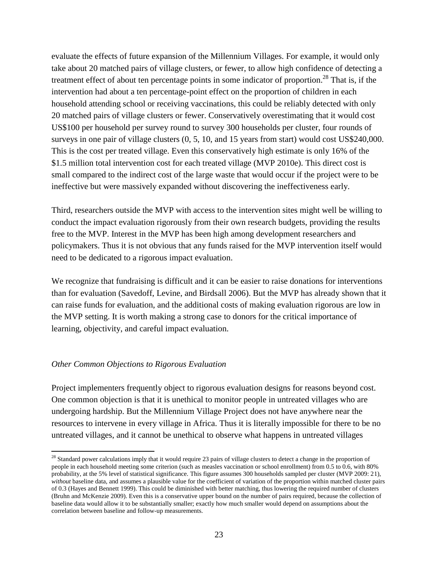evaluate the effects of future expansion of the Millennium Villages. For example, it would only take about 20 matched pairs of village clusters, or fewer, to allow high confidence of detecting a treatment effect of about ten percentage points in some indicator of proportion.<sup>28</sup> That is, if the intervention had about a ten percentage-point effect on the proportion of children in each household attending school or receiving vaccinations, this could be reliably detected with only 20 matched pairs of village clusters or fewer. Conservatively overestimating that it would cost US\$100 per household per survey round to survey 300 households per cluster, four rounds of surveys in one pair of village clusters (0, 5, 10, and 15 years from start) would cost US\$240,000. This is the cost per treated village. Even this conservatively high estimate is only 16% of the \$1.5 million total intervention cost for each treated village (MVP 2010e). This direct cost is small compared to the indirect cost of the large waste that would occur if the project were to be ineffective but were massively expanded without discovering the ineffectiveness early.

Third, researchers outside the MVP with access to the intervention sites might well be willing to conduct the impact evaluation rigorously from their own research budgets, providing the results free to the MVP. Interest in the MVP has been high among development researchers and policymakers. Thus it is not obvious that any funds raised for the MVP intervention itself would need to be dedicated to a rigorous impact evaluation.

We recognize that fundraising is difficult and it can be easier to raise donations for interventions than for evaluation (Savedoff, Levine, and Birdsall 2006). But the MVP has already shown that it can raise funds for evaluation, and the additional costs of making evaluation rigorous are low in the MVP setting. It is worth making a strong case to donors for the critical importance of learning, objectivity, and careful impact evaluation.

#### *Other Common Objections to Rigorous Evaluation*

 $\overline{a}$ 

Project implementers frequently object to rigorous evaluation designs for reasons beyond cost. One common objection is that it is unethical to monitor people in untreated villages who are undergoing hardship. But the Millennium Village Project does not have anywhere near the resources to intervene in every village in Africa. Thus it is literally impossible for there to be no untreated villages, and it cannot be unethical to observe what happens in untreated villages

 $^{28}$  Standard power calculations imply that it would require 23 pairs of village clusters to detect a change in the proportion of people in each household meeting some criterion (such as measles vaccination or school enrollment) from 0.5 to 0.6, with 80% probability, at the 5% level of statistical significance. This figure assumes 300 households sampled per cluster (MVP 2009: 21), *without* baseline data, and assumes a plausible value for the coefficient of variation of the proportion within matched cluster pairs of 0.3 (Hayes and Bennett 1999). This could be diminished with better matching, thus lowering the required number of clusters (Bruhn and McKenzie 2009). Even this is a conservative upper bound on the number of pairs required, because the collection of baseline data would allow it to be substantially smaller; exactly how much smaller would depend on assumptions about the correlation between baseline and follow-up measurements.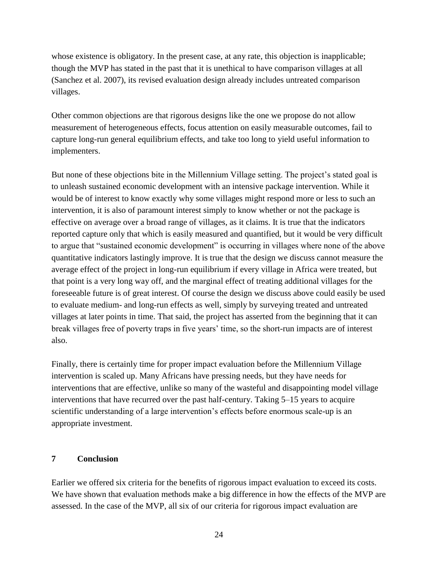whose existence is obligatory. In the present case, at any rate, this objection is inapplicable; though the MVP has stated in the past that it is unethical to have comparison villages at all (Sanchez et al. 2007), its revised evaluation design already includes untreated comparison villages.

Other common objections are that rigorous designs like the one we propose do not allow measurement of heterogeneous effects, focus attention on easily measurable outcomes, fail to capture long-run general equilibrium effects, and take too long to yield useful information to implementers.

But none of these objections bite in the Millennium Village setting. The project's stated goal is to unleash sustained economic development with an intensive package intervention. While it would be of interest to know exactly why some villages might respond more or less to such an intervention, it is also of paramount interest simply to know whether or not the package is effective on average over a broad range of villages, as it claims. It is true that the indicators reported capture only that which is easily measured and quantified, but it would be very difficult to argue that "sustained economic development" is occurring in villages where none of the above quantitative indicators lastingly improve. It is true that the design we discuss cannot measure the average effect of the project in long-run equilibrium if every village in Africa were treated, but that point is a very long way off, and the marginal effect of treating additional villages for the foreseeable future is of great interest. Of course the design we discuss above could easily be used to evaluate medium- and long-run effects as well, simply by surveying treated and untreated villages at later points in time. That said, the project has asserted from the beginning that it can break villages free of poverty traps in five years' time, so the short-run impacts are of interest also.

Finally, there is certainly time for proper impact evaluation before the Millennium Village intervention is scaled up. Many Africans have pressing needs, but they have needs for interventions that are effective, unlike so many of the wasteful and disappointing model village interventions that have recurred over the past half-century. Taking 5–15 years to acquire scientific understanding of a large intervention's effects before enormous scale-up is an appropriate investment.

#### **7 Conclusion**

Earlier we offered six criteria for the benefits of rigorous impact evaluation to exceed its costs. We have shown that evaluation methods make a big difference in how the effects of the MVP are assessed. In the case of the MVP, all six of our criteria for rigorous impact evaluation are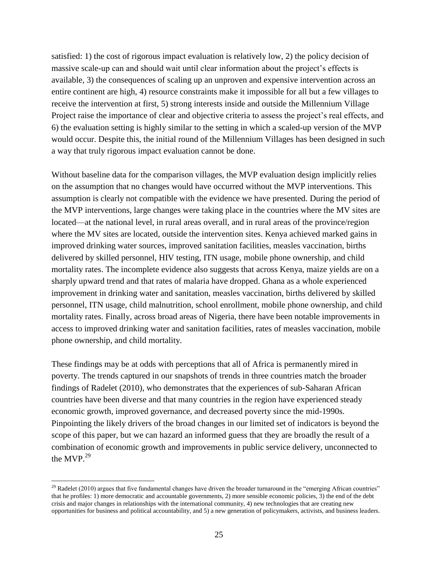satisfied: 1) the cost of rigorous impact evaluation is relatively low, 2) the policy decision of massive scale-up can and should wait until clear information about the project's effects is available, 3) the consequences of scaling up an unproven and expensive intervention across an entire continent are high, 4) resource constraints make it impossible for all but a few villages to receive the intervention at first, 5) strong interests inside and outside the Millennium Village Project raise the importance of clear and objective criteria to assess the project's real effects, and 6) the evaluation setting is highly similar to the setting in which a scaled-up version of the MVP would occur. Despite this, the initial round of the Millennium Villages has been designed in such a way that truly rigorous impact evaluation cannot be done.

Without baseline data for the comparison villages, the MVP evaluation design implicitly relies on the assumption that no changes would have occurred without the MVP interventions. This assumption is clearly not compatible with the evidence we have presented. During the period of the MVP interventions, large changes were taking place in the countries where the MV sites are located—at the national level, in rural areas overall, and in rural areas of the province/region where the MV sites are located, outside the intervention sites. Kenya achieved marked gains in improved drinking water sources, improved sanitation facilities, measles vaccination, births delivered by skilled personnel, HIV testing, ITN usage, mobile phone ownership, and child mortality rates. The incomplete evidence also suggests that across Kenya, maize yields are on a sharply upward trend and that rates of malaria have dropped. Ghana as a whole experienced improvement in drinking water and sanitation, measles vaccination, births delivered by skilled personnel, ITN usage, child malnutrition, school enrollment, mobile phone ownership, and child mortality rates. Finally, across broad areas of Nigeria, there have been notable improvements in access to improved drinking water and sanitation facilities, rates of measles vaccination, mobile phone ownership, and child mortality.

These findings may be at odds with perceptions that all of Africa is permanently mired in poverty. The trends captured in our snapshots of trends in three countries match the broader findings of Radelet (2010), who demonstrates that the experiences of sub-Saharan African countries have been diverse and that many countries in the region have experienced steady economic growth, improved governance, and decreased poverty since the mid-1990s. Pinpointing the likely drivers of the broad changes in our limited set of indicators is beyond the scope of this paper, but we can hazard an informed guess that they are broadly the result of a combination of economic growth and improvements in public service delivery, unconnected to the MVP $^{29}$ 

<sup>&</sup>lt;sup>29</sup> Radelet (2010) argues that five fundamental changes have driven the broader turnaround in the "emerging African countries" that he profiles: 1) more democratic and accountable governments, 2) more sensible economic policies, 3) the end of the debt crisis and major changes in relationships with the international community, 4) new technologies that are creating new opportunities for business and political accountability, and 5) a new generation of policymakers, activists, and business leaders.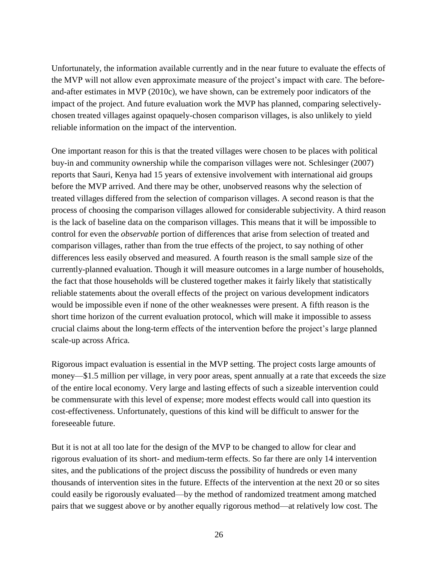Unfortunately, the information available currently and in the near future to evaluate the effects of the MVP will not allow even approximate measure of the project's impact with care. The beforeand-after estimates in MVP (2010c), we have shown, can be extremely poor indicators of the impact of the project. And future evaluation work the MVP has planned, comparing selectivelychosen treated villages against opaquely-chosen comparison villages, is also unlikely to yield reliable information on the impact of the intervention.

One important reason for this is that the treated villages were chosen to be places with political buy-in and community ownership while the comparison villages were not. Schlesinger (2007) reports that Sauri, Kenya had 15 years of extensive involvement with international aid groups before the MVP arrived. And there may be other, unobserved reasons why the selection of treated villages differed from the selection of comparison villages. A second reason is that the process of choosing the comparison villages allowed for considerable subjectivity. A third reason is the lack of baseline data on the comparison villages. This means that it will be impossible to control for even the *observable* portion of differences that arise from selection of treated and comparison villages, rather than from the true effects of the project, to say nothing of other differences less easily observed and measured. A fourth reason is the small sample size of the currently-planned evaluation. Though it will measure outcomes in a large number of households, the fact that those households will be clustered together makes it fairly likely that statistically reliable statements about the overall effects of the project on various development indicators would be impossible even if none of the other weaknesses were present. A fifth reason is the short time horizon of the current evaluation protocol, which will make it impossible to assess crucial claims about the long-term effects of the intervention before the project's large planned scale-up across Africa.

Rigorous impact evaluation is essential in the MVP setting. The project costs large amounts of money—\$1.5 million per village, in very poor areas, spent annually at a rate that exceeds the size of the entire local economy. Very large and lasting effects of such a sizeable intervention could be commensurate with this level of expense; more modest effects would call into question its cost-effectiveness. Unfortunately, questions of this kind will be difficult to answer for the foreseeable future.

But it is not at all too late for the design of the MVP to be changed to allow for clear and rigorous evaluation of its short- and medium-term effects. So far there are only 14 intervention sites, and the publications of the project discuss the possibility of hundreds or even many thousands of intervention sites in the future. Effects of the intervention at the next 20 or so sites could easily be rigorously evaluated—by the method of randomized treatment among matched pairs that we suggest above or by another equally rigorous method—at relatively low cost. The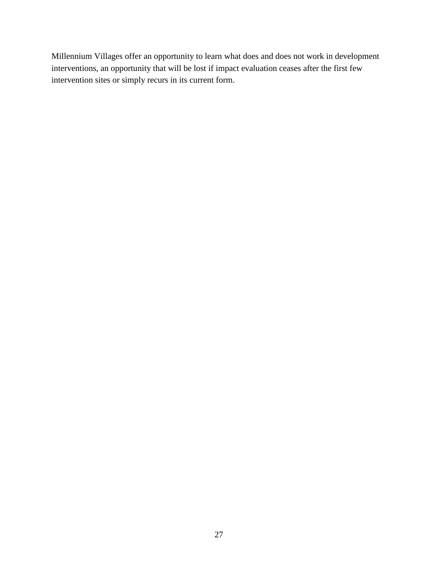Millennium Villages offer an opportunity to learn what does and does not work in development interventions, an opportunity that will be lost if impact evaluation ceases after the first few intervention sites or simply recurs in its current form.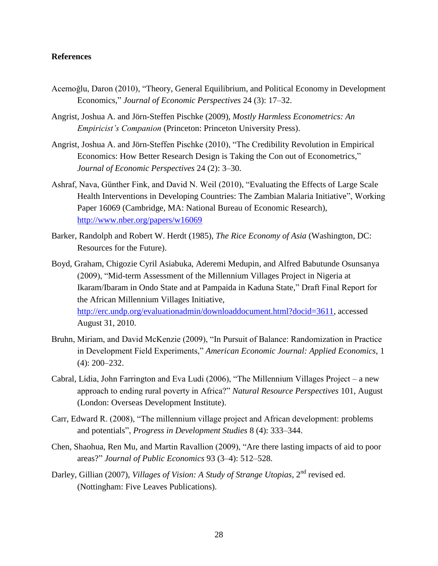#### **References**

- Acemoğlu, Daron (2010), "Theory, General Equilibrium, and Political Economy in Development Economics,‖ *Journal of Economic Perspectives* 24 (3): 17–32.
- Angrist, Joshua A. and Jörn-Steffen Pischke (2009), *Mostly Harmless Econometrics: An Empiricist's Companion* (Princeton: Princeton University Press).
- Angrist, Joshua A. and Jörn-Steffen Pischke (2010), "The Credibility Revolution in Empirical Economics: How Better Research Design is Taking the Con out of Econometrics," *Journal of Economic Perspectives* 24 (2): 3–30.
- Ashraf, Nava, Günther Fink, and David N. Weil (2010), "Evaluating the Effects of Large Scale Health Interventions in Developing Countries: The Zambian Malaria Initiative", Working Paper 16069 (Cambridge, MA: National Bureau of Economic Research), <http://www.nber.org/papers/w16069>
- Barker, Randolph and Robert W. Herdt (1985), *The Rice Economy of Asia* (Washington, DC: Resources for the Future).
- Boyd, Graham, Chigozie Cyril Asiabuka, Aderemi Medupin, and Alfred Babutunde Osunsanya (2009), "Mid-term Assessment of the Millennium Villages Project in Nigeria at Ikaram/Ibaram in Ondo State and at Pampaida in Kaduna State," Draft Final Report for the African Millennium Villages Initiative, [http://erc.undp.org/evaluationadmin/downloaddocument.html?docid=3611,](http://erc.undp.org/evaluationadmin/downloaddocument.html?docid=3611) accessed August 31, 2010.
- Bruhn, Miriam, and David McKenzie (2009), "In Pursuit of Balance: Randomization in Practice in Development Field Experiments," American Economic Journal: Applied Economics, 1 (4): 200–232.
- Cabral, Lídia, John Farrington and Eva Ludi (2006), "The Millennium Villages Project a new approach to ending rural poverty in Africa?" *Natural Resource Perspectives* 101, August (London: Overseas Development Institute).
- Carr, Edward R. (2008), "The millennium village project and African development: problems and potentials‖, *Progress in Development Studies* 8 (4): 333–344.
- Chen, Shaohua, Ren Mu, and Martin Ravallion (2009), "Are there lasting impacts of aid to poor areas?‖ *Journal of Public Economics* 93 (3–4): 512–528.
- Darley, Gillian (2007), *Villages of Vision: A Study of Strange Utopias*, 2<sup>nd</sup> revised ed. (Nottingham: Five Leaves Publications).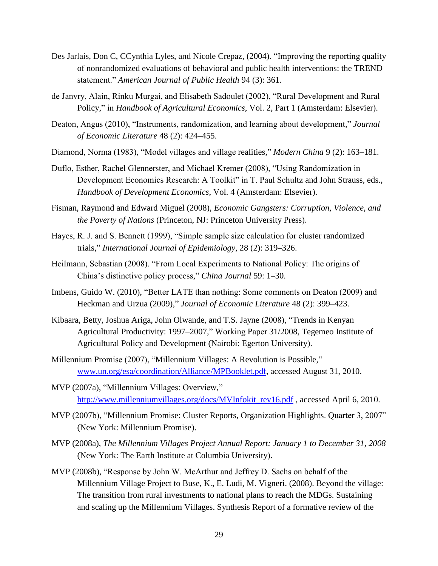- Des Jarlais, Don C, CCynthia Lyles, and Nicole Crepaz, (2004). "Improving the reporting quality of nonrandomized evaluations of behavioral and public health interventions: the TREND statement." *American Journal of Public Health* 94 (3): 361.
- de Janvry, Alain, Rinku Murgai, and Elisabeth Sadoulet (2002), "Rural Development and Rural Policy," in *Handbook of Agricultural Economics*, Vol. 2, Part 1 (Amsterdam: Elsevier).
- Deaton, Angus (2010), "Instruments, randomization, and learning about development," *Journal of Economic Literature* 48 (2): 424–455.
- Diamond, Norma (1983), "Model villages and village realities," *Modern China* 9 (2): 163–181.
- Duflo, Esther, Rachel Glennerster, and Michael Kremer (2008), "Using Randomization in Development Economics Research: A Toolkit" in T. Paul Schultz and John Strauss, eds., *Handbook of Development Economics*, Vol. 4 (Amsterdam: Elsevier).
- Fisman, Raymond and Edward Miguel (2008), *Economic Gangsters: Corruption, Violence, and the Poverty of Nations* (Princeton, NJ: Princeton University Press).
- Hayes, R. J. and S. Bennett (1999), "Simple sample size calculation for cluster randomized trials," *International Journal of Epidemiology*, 28 (2): 319-326.
- Heilmann, Sebastian (2008). "From Local Experiments to National Policy: The origins of China's distinctive policy process," *China Journal* 59: 1–30.
- Imbens, Guido W. (2010), "Better LATE than nothing: Some comments on Deaton (2009) and Heckman and Urzua (2009)," *Journal of Economic Literature* 48 (2): 399-423.
- Kibaara, Betty, Joshua Ariga, John Olwande, and T.S. Jayne (2008), "Trends in Kenyan Agricultural Productivity: 1997–2007," Working Paper 31/2008, Tegemeo Institute of Agricultural Policy and Development (Nairobi: Egerton University).
- Millennium Promise (2007), "Millennium Villages: A Revolution is Possible," [www.un.org/esa/coordination/Alliance/MPBooklet.pdf,](http://www.un.org/esa/coordination/Alliance/MPBooklet.pdf) accessed August 31, 2010.
- MVP (2007a), "Millennium Villages: Overview," [http://www.millenniumvillages.org/docs/MVInfokit\\_rev16.pdf](http://www.millenniumvillages.org/docs/MVInfokit_rev16.pdf), accessed April 6, 2010.
- MVP (2007b), "Millennium Promise: Cluster Reports, Organization Highlights. Quarter 3, 2007" (New York: Millennium Promise).
- MVP (2008a), *The Millennium Villages Project Annual Report: January 1 to December 31, 2008* (New York: The Earth Institute at Columbia University).
- MVP (2008b), "Response by John W. McArthur and Jeffrey D. Sachs on behalf of the Millennium Village Project to Buse, K., E. Ludi, M. Vigneri. (2008). Beyond the village: The transition from rural investments to national plans to reach the MDGs. Sustaining and scaling up the Millennium Villages. Synthesis Report of a formative review of the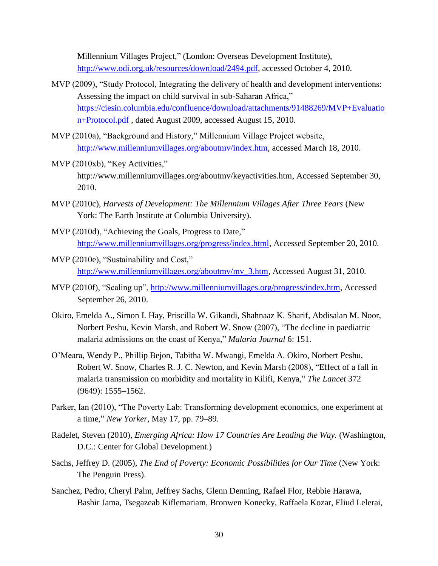Millennium Villages Project," (London: Overseas Development Institute), [http://www.odi.org.uk/resources/download/2494.pdf,](http://www.odi.org.uk/resources/download/2494.pdf) accessed October 4, 2010.

- MVP (2009), "Study Protocol, Integrating the delivery of health and development interventions: Assessing the impact on child survival in sub-Saharan Africa," [https://ciesin.columbia.edu/confluence/download/attachments/91488269/MVP+Evaluatio](https://ciesin.columbia.edu/confluence/download/attachments/91488269/MVP+Evaluation+Protocol.pdf) [n+Protocol.pdf](https://ciesin.columbia.edu/confluence/download/attachments/91488269/MVP+Evaluation+Protocol.pdf), dated August 2009, accessed August 15, 2010.
- MVP (2010a), "Background and History," Millennium Village Project website, [http://www.millenniumvillages.org/aboutmv/index.htm,](http://www.millenniumvillages.org/aboutmv/index.htm) accessed March 18, 2010.
- $MVP$  (2010xb), "Key Activities," http://www.millenniumvillages.org/aboutmv/keyactivities.htm, Accessed September 30, 2010.
- MVP (2010c), *Harvests of Development: The Millennium Villages After Three Years* (New York: The Earth Institute at Columbia University).
- MVP (2010d), "Achieving the Goals, Progress to Date," [http://www.millenniumvillages.org/progress/index.html,](http://www.millenniumvillages.org/progress/index.html) Accessed September 20, 2010.
- MVP (2010e), "Sustainability and Cost," [http://www.millenniumvillages.org/aboutmv/mv\\_3.htm,](http://www.millenniumvillages.org/aboutmv/mv_3.htm) Accessed August 31, 2010.
- MVP (2010f), "Scaling up", [http://www.millenniumvillages.org/progress/index.htm,](http://www.millenniumvillages.org/progress/index.htm) Accessed September 26, 2010.
- Okiro, Emelda A., Simon I. Hay, Priscilla W. Gikandi, Shahnaaz K. Sharif, Abdisalan M. Noor, Norbert Peshu, Kevin Marsh, and Robert W. Snow (2007), "The decline in paediatric malaria admissions on the coast of Kenya," *Malaria Journal* 6: 151.
- O'Meara, Wendy P., Phillip Bejon, Tabitha W. Mwangi, Emelda A. Okiro, Norbert Peshu, Robert W. Snow, Charles R. J. C. Newton, and Kevin Marsh (2008), "Effect of a fall in malaria transmission on morbidity and mortality in Kilifi, Kenya,‖ *The Lancet* 372 (9649): 1555–1562.
- Parker, Ian (2010), "The Poverty Lab: Transforming development economics, one experiment at a time," *New Yorker*, May 17, pp. 79–89.
- Radelet, Steven (2010), *Emerging Africa: How 17 Countries Are Leading the Way.* (Washington, D.C.: Center for Global Development.)
- Sachs, Jeffrey D. (2005), *The End of Poverty: Economic Possibilities for Our Time* (New York: The Penguin Press).
- Sanchez, Pedro, Cheryl Palm, Jeffrey Sachs, Glenn Denning, Rafael Flor, Rebbie Harawa, Bashir Jama, Tsegazeab Kiflemariam, Bronwen Konecky, Raffaela Kozar, Eliud Lelerai,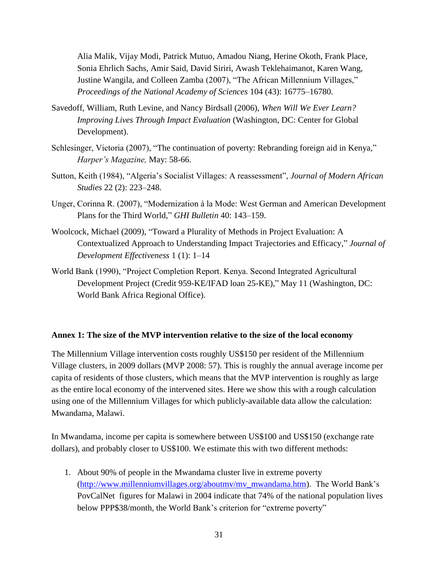Alia Malik, Vijay Modi, Patrick Mutuo, Amadou Niang, Herine Okoth, Frank Place, Sonia Ehrlich Sachs, Amir Said, David Siriri, Awash Teklehaimanot, Karen Wang, Justine Wangila, and Colleen Zamba (2007), "The African Millennium Villages," *Proceedings of the National Academy of Sciences* 104 (43): 16775–16780.

- Savedoff, William, Ruth Levine, and Nancy Birdsall (2006), *When Will We Ever Learn? Improving Lives Through Impact Evaluation* (Washington, DC: Center for Global Development).
- Schlesinger, Victoria (2007), "The continuation of poverty: Rebranding foreign aid in Kenya," *Harper's Magazine,* May: 58-66.
- Sutton, Keith (1984), "Algeria's Socialist Villages: A reassessment", *Journal of Modern African Studies* 22 (2): 223–248.
- Unger, Corinna R. (2007), "Modernization à la Mode: West German and American Development Plans for the Third World," *GHI Bulletin* 40: 143–159.
- Woolcock, Michael (2009), "Toward a Plurality of Methods in Project Evaluation: A Contextualized Approach to Understanding Impact Trajectories and Efficacy," Journal of *Development Effectiveness* 1 (1): 1–14
- World Bank (1990), "Project Completion Report. Kenya. Second Integrated Agricultural Development Project (Credit 959-KE/IFAD loan 25-KE)," May 11 (Washington, DC: World Bank Africa Regional Office).

#### **Annex 1: The size of the MVP intervention relative to the size of the local economy**

The Millennium Village intervention costs roughly US\$150 per resident of the Millennium Village clusters, in 2009 dollars (MVP 2008: 57). This is roughly the annual average income per capita of residents of those clusters, which means that the MVP intervention is roughly as large as the entire local economy of the intervened sites. Here we show this with a rough calculation using one of the Millennium Villages for which publicly-available data allow the calculation: Mwandama, Malawi.

In Mwandama, income per capita is somewhere between US\$100 and US\$150 (exchange rate dollars), and probably closer to US\$100. We estimate this with two different methods:

1. About 90% of people in the Mwandama cluster live in extreme poverty [\(http://www.millenniumvillages.org/aboutmv/mv\\_mwandama.htm\)](http://www.millenniumvillages.org/aboutmv/mv_mwandama.htm). The World Bank's PovCalNet figures for Malawi in 2004 indicate that 74% of the national population lives below PPP\$38/month, the World Bank's criterion for "extreme poverty"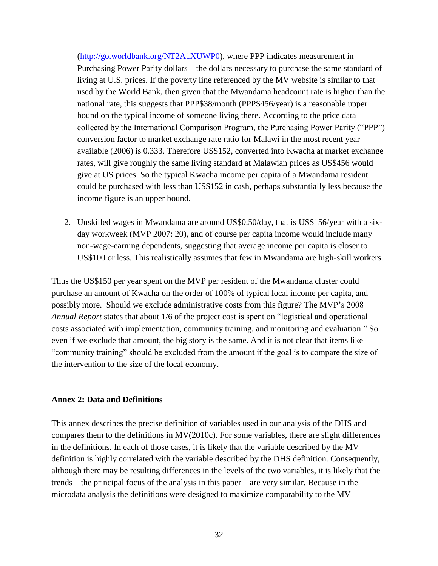[\(http://go.worldbank.org/NT2A1XUWP0\)](http://go.worldbank.org/NT2A1XUWP0), where PPP indicates measurement in Purchasing Power Parity dollars—the dollars necessary to purchase the same standard of living at U.S. prices. If the poverty line referenced by the MV website is similar to that used by the World Bank, then given that the Mwandama headcount rate is higher than the national rate, this suggests that PPP\$38/month (PPP\$456/year) is a reasonable upper bound on the typical income of someone living there. According to the price data collected by the International Comparison Program, the Purchasing Power Parity ("PPP") conversion factor to market exchange rate ratio for Malawi in the most recent year available (2006) is 0.333. Therefore US\$152, converted into Kwacha at market exchange rates, will give roughly the same living standard at Malawian prices as US\$456 would give at US prices. So the typical Kwacha income per capita of a Mwandama resident could be purchased with less than US\$152 in cash, perhaps substantially less because the income figure is an upper bound.

2. Unskilled wages in Mwandama are around US\$0.50/day, that is US\$156/year with a sixday workweek (MVP 2007: 20), and of course per capita income would include many non-wage-earning dependents, suggesting that average income per capita is closer to US\$100 or less. This realistically assumes that few in Mwandama are high-skill workers.

Thus the US\$150 per year spent on the MVP per resident of the Mwandama cluster could purchase an amount of Kwacha on the order of 100% of typical local income per capita, and possibly more. Should we exclude administrative costs from this figure? The MVP's 2008 *Annual Report* states that about 1/6 of the project cost is spent on "logistical and operational costs associated with implementation, community training, and monitoring and evaluation." So even if we exclude that amount, the big story is the same. And it is not clear that items like "community training" should be excluded from the amount if the goal is to compare the size of the intervention to the size of the local economy.

#### **Annex 2: Data and Definitions**

This annex describes the precise definition of variables used in our analysis of the DHS and compares them to the definitions in MV(2010c). For some variables, there are slight differences in the definitions. In each of those cases, it is likely that the variable described by the MV definition is highly correlated with the variable described by the DHS definition. Consequently, although there may be resulting differences in the levels of the two variables, it is likely that the trends—the principal focus of the analysis in this paper—are very similar. Because in the microdata analysis the definitions were designed to maximize comparability to the MV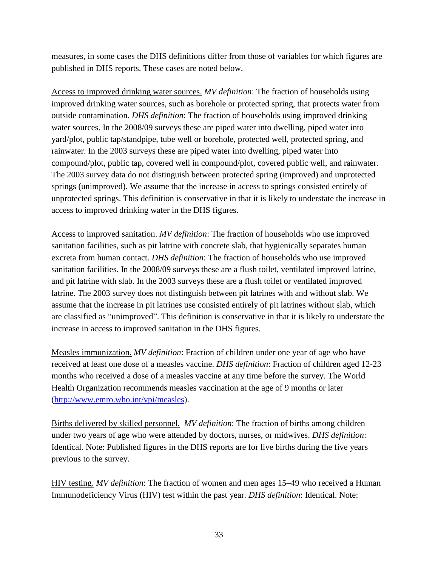measures, in some cases the DHS definitions differ from those of variables for which figures are published in DHS reports. These cases are noted below.

Access to improved drinking water sources. *MV definition*: The fraction of households using improved drinking water sources, such as borehole or protected spring, that protects water from outside contamination. *DHS definition*: The fraction of households using improved drinking water sources. In the 2008/09 surveys these are piped water into dwelling, piped water into yard/plot, public tap/standpipe, tube well or borehole, protected well, protected spring, and rainwater. In the 2003 surveys these are piped water into dwelling, piped water into compound/plot, public tap, covered well in compound/plot, covered public well, and rainwater. The 2003 survey data do not distinguish between protected spring (improved) and unprotected springs (unimproved). We assume that the increase in access to springs consisted entirely of unprotected springs. This definition is conservative in that it is likely to understate the increase in access to improved drinking water in the DHS figures.

Access to improved sanitation. *MV definition*: The fraction of households who use improved sanitation facilities, such as pit latrine with concrete slab, that hygienically separates human excreta from human contact. *DHS definition*: The fraction of households who use improved sanitation facilities. In the 2008/09 surveys these are a flush toilet, ventilated improved latrine, and pit latrine with slab. In the 2003 surveys these are a flush toilet or ventilated improved latrine. The 2003 survey does not distinguish between pit latrines with and without slab. We assume that the increase in pit latrines use consisted entirely of pit latrines without slab, which are classified as "unimproved". This definition is conservative in that it is likely to understate the increase in access to improved sanitation in the DHS figures.

Measles immunization. *MV definition*: Fraction of children under one year of age who have received at least one dose of a measles vaccine. *DHS definition*: Fraction of children aged 12-23 months who received a dose of a measles vaccine at any time before the survey. The World Health Organization recommends measles vaccination at the age of 9 months or later [\(http://www.emro.who.int/vpi/measles\)](http://www.emro.who.int/vpi/measles).

Births delivered by skilled personnel. *MV definition*: The fraction of births among children under two years of age who were attended by doctors, nurses, or midwives. *DHS definition*: Identical. Note: Published figures in the DHS reports are for live births during the five years previous to the survey.

HIV testing. *MV definition*: The fraction of women and men ages 15–49 who received a Human Immunodeficiency Virus (HIV) test within the past year. *DHS definition*: Identical. Note: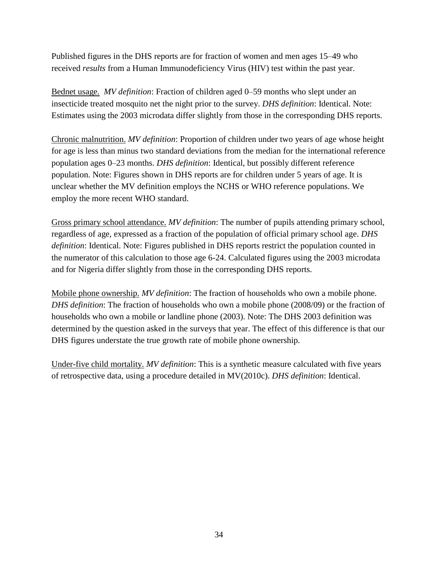Published figures in the DHS reports are for fraction of women and men ages 15–49 who received *results* from a Human Immunodeficiency Virus (HIV) test within the past year.

Bednet usage. *MV definition*: Fraction of children aged 0–59 months who slept under an insecticide treated mosquito net the night prior to the survey. *DHS definition*: Identical. Note: Estimates using the 2003 microdata differ slightly from those in the corresponding DHS reports.

Chronic malnutrition. *MV definition*: Proportion of children under two years of age whose height for age is less than minus two standard deviations from the median for the international reference population ages 0–23 months. *DHS definition*: Identical, but possibly different reference population. Note: Figures shown in DHS reports are for children under 5 years of age. It is unclear whether the MV definition employs the NCHS or WHO reference populations. We employ the more recent WHO standard.

Gross primary school attendance. *MV definition*: The number of pupils attending primary school, regardless of age, expressed as a fraction of the population of official primary school age. *DHS definition*: Identical. Note: Figures published in DHS reports restrict the population counted in the numerator of this calculation to those age 6-24. Calculated figures using the 2003 microdata and for Nigeria differ slightly from those in the corresponding DHS reports.

Mobile phone ownership. *MV definition*: The fraction of households who own a mobile phone. *DHS definition*: The fraction of households who own a mobile phone (2008/09) or the fraction of households who own a mobile or landline phone (2003). Note: The DHS 2003 definition was determined by the question asked in the surveys that year. The effect of this difference is that our DHS figures understate the true growth rate of mobile phone ownership.

Under-five child mortality. *MV definition*: This is a synthetic measure calculated with five years of retrospective data, using a procedure detailed in MV(2010c). *DHS definition*: Identical.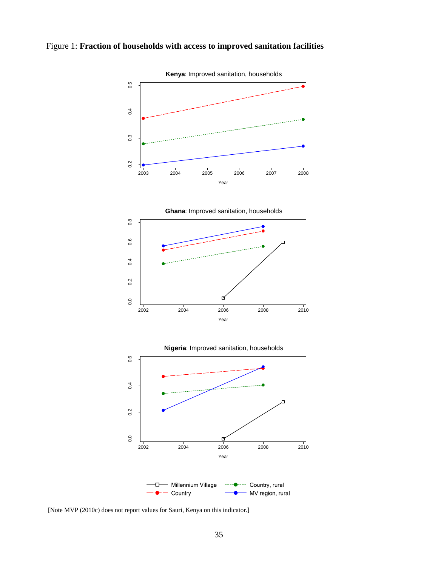#### Figure 1: **Fraction of households with access to improved sanitation facilities**







[Note MVP (2010c) does not report values for Sauri, Kenya on this indicator.]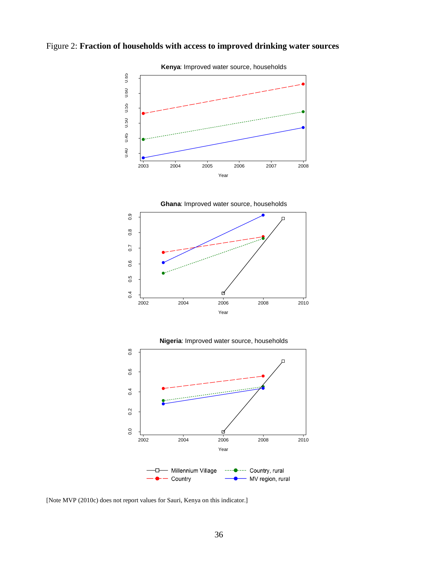







[Note MVP (2010c) does not report values for Sauri, Kenya on this indicator.]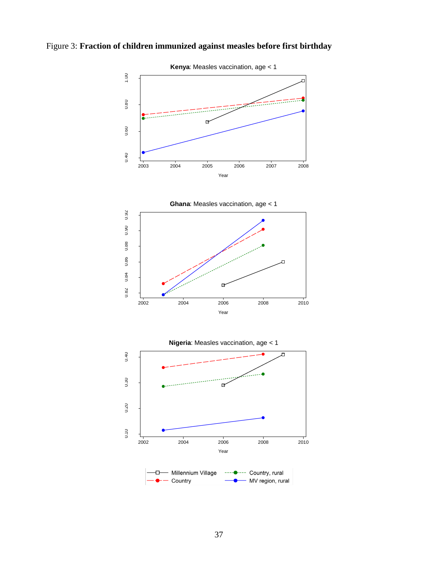





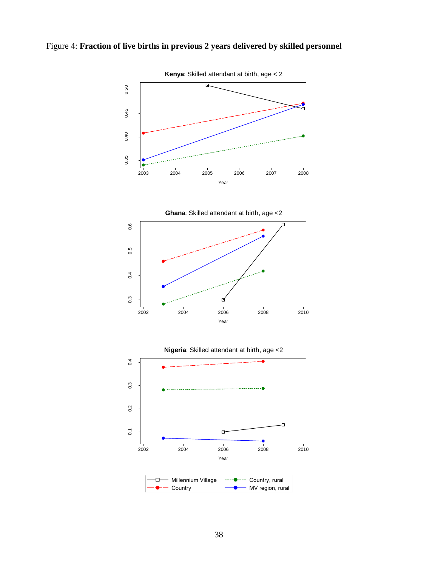





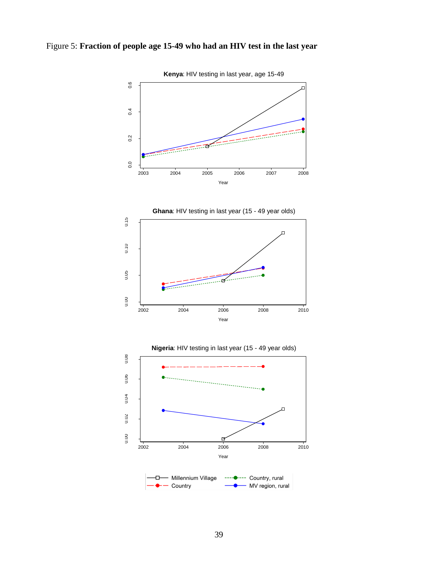





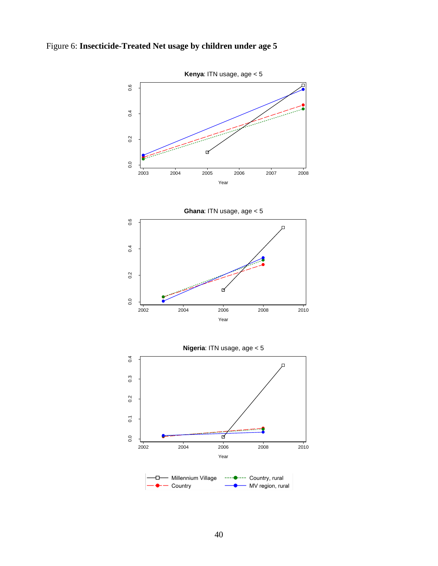





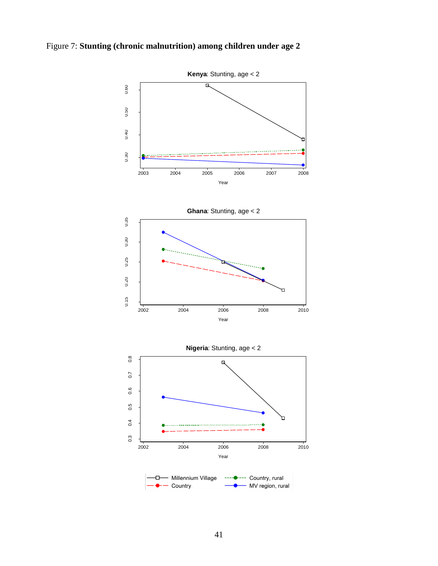

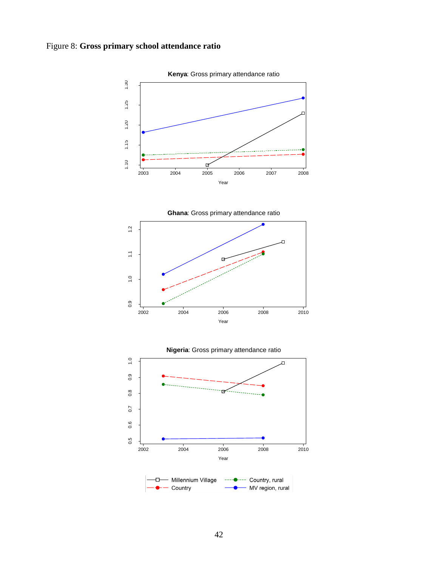#### Figure 8: **Gross primary school attendance ratio**





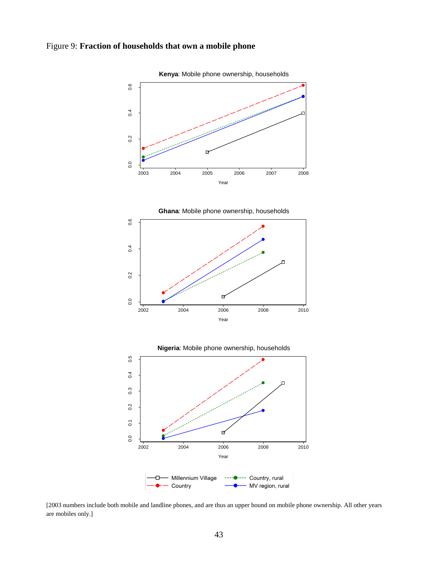#### Figure 9: **Fraction of households that own a mobile phone**



**Kenya**: Mobile phone ownership, households





[2003 numbers include both mobile and landline phones, and are thus an upper bound on mobile phone ownership. All other years are mobiles only.]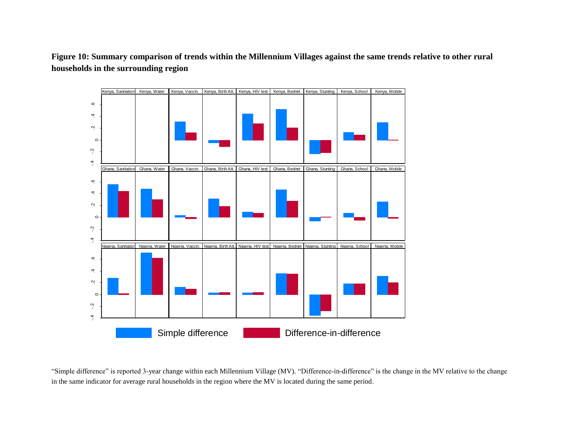**Figure 10: Summary comparison of trends within the Millennium Villages against the same trends relative to other rural households in the surrounding region** 



"Simple difference" is reported 3-year change within each Millennium Village (MV). "Difference-in-difference" is the change in the MV relative to the change in the same indicator for average rural households in the region where the MV is located during the same period.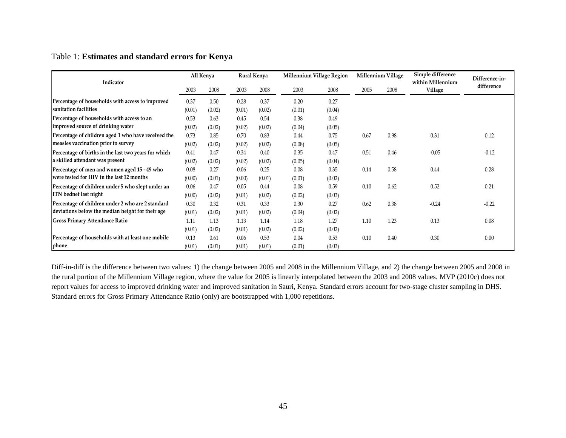#### Table 1: **Estimates and standard errors for Kenya**

| Indicator                                            | All Kenya |        | Rural Kenya |        | Millennium Village Region |        | <b>Millennium Village</b> |      | Simple difference<br>within Millennium | Difference-in- |
|------------------------------------------------------|-----------|--------|-------------|--------|---------------------------|--------|---------------------------|------|----------------------------------------|----------------|
|                                                      | 2003      | 2008   | 2003        | 2008   | 2003                      | 2008   | 2005                      | 2008 | Village                                | difference     |
| Percentage of households with access to improved     | 0.37      | 0.50   | 0.28        | 0.37   | 0.20                      | 0.27   |                           |      |                                        |                |
| sanitation facilities                                | (0.01)    | (0.02) | (0.01)      | (0.02) | (0.01)                    | (0.04) |                           |      |                                        |                |
| Percentage of households with access to an           | 0.53      | 0.63   | 0.45        | 0.54   | 0.38                      | 0.49   |                           |      |                                        |                |
| improved source of drinking water                    | (0.02)    | (0.02) | (0.02)      | (0.02) | (0.04)                    | (0.05) |                           |      |                                        |                |
| Percentage of children aged 1 who have received the  | 0.73      | 0.85   | 0.70        | 0.83   | 0.44                      | 0.75   | 0.67                      | 0.98 | 0.31                                   | 0.12           |
| measles vaccination prior to survey                  | (0.02)    | (0.02) | (0.02)      | (0.02) | (0.08)                    | (0.05) |                           |      |                                        |                |
| Percentage of births in the last two years for which | 0.41      | 0.47   | 0.34        | 0.40   | 0.35                      | 0.47   | 0.51                      | 0.46 | $-0.05$                                | $-0.12$        |
| a skilled attendant was present                      | (0.02)    | (0.02) | (0.02)      | (0.02) | (0.05)                    | (0.04) |                           |      |                                        |                |
| Percentage of men and women aged 15 - 49 who         | 0.08      | 0.27   | 0.06        | 0.25   | 0.08                      | 0.35   | 0.14                      | 0.58 | 0.44                                   | 0.28           |
| were tested for HIV in the last 12 months            | (0.00)    | (0.01) | (0.00)      | (0.01) | (0.01)                    | (0.02) |                           |      |                                        |                |
| Percentage of children under 5 who slept under an    | 0.06      | 0.47   | 0.05        | 0.44   | 0.08                      | 0.59   | 0.10                      | 0.62 | 0.52                                   | 0.21           |
| ITN bednet last night                                | (0.00)    | (0.02) | (0.01)      | (0.02) | (0.02)                    | (0.03) |                           |      |                                        |                |
| Percentage of children under 2 who are 2 standard    | 0.30      | 0.32   | 0.31        | 0.33   | 0.30                      | 0.27   | 0.62                      | 0.38 | $-0.24$                                | $-0.22$        |
| deviations below the median height for their age     | (0.01)    | (0.02) | (0.01)      | (0.02) | (0.04)                    | (0.02) |                           |      |                                        |                |
| <b>Gross Primary Attendance Ratio</b>                | 1.11      | 1.13   | 1.13        | 1.14   | 1.18                      | 1.27   | 1.10                      | 1.23 | 0.13                                   | 0.08           |
|                                                      | (0.01)    | (0.02) | (0.01)      | (0.02) | (0.02)                    | (0.02) |                           |      |                                        |                |
| Percentage of households with at least one mobile    | 0.13      | 0.61   | 0.06        | 0.53   | 0.04                      | 0.53   | 0.10                      | 0.40 | 0.30                                   | 0.00           |
| phone                                                | (0.01)    | (0.01) | (0.01)      | (0.01) | (0.01)                    | (0.03) |                           |      |                                        |                |

Diff-in-diff is the difference between two values: 1) the change between 2005 and 2008 in the Millennium Village, and 2) the change between 2005 and 2008 in the rural portion of the Millennium Village region, where the value for 2005 is linearly interpolated between the 2003 and 2008 values. MVP (2010c) does not report values for access to improved drinking water and improved sanitation in Sauri, Kenya. Standard errors account for two-stage cluster sampling in DHS. Standard errors for Gross Primary Attendance Ratio (only) are bootstrapped with 1,000 repetitions.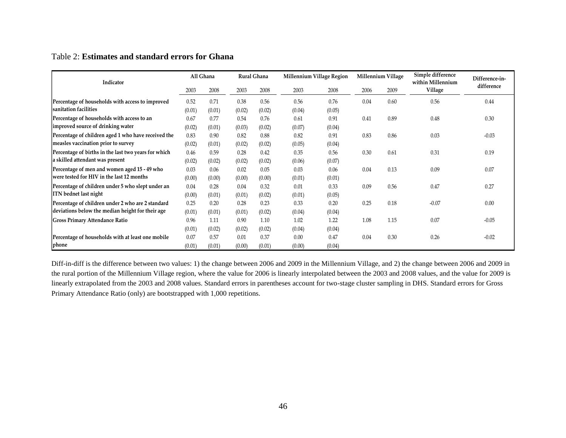#### Table 2: **Estimates and standard errors for Ghana**

| Indicator                                            | All Ghana |        | Rural Ghana |        | Millennium Village Region |        | Millennium Village |      | Simple difference<br>within Millennium | Difference-in- |
|------------------------------------------------------|-----------|--------|-------------|--------|---------------------------|--------|--------------------|------|----------------------------------------|----------------|
|                                                      | 2003      | 2008   | 2003        | 2008   | 2003                      | 2008   | 2006               | 2009 | Village                                | difference     |
| Percentage of households with access to improved     | 0.52      | 0.71   | 0.38        | 0.56   | 0.56                      | 0.76   | 0.04               | 0.60 | 0.56                                   | 0.44           |
| sanitation facilities                                | (0.01)    | (0.01) | (0.02)      | (0.02) | (0.04)                    | (0.05) |                    |      |                                        |                |
| Percentage of households with access to an           | 0.67      | 0.77   | 0.54        | 0.76   | 0.61                      | 0.91   | 0.41               | 0.89 | 0.48                                   | 0.30           |
| improved source of drinking water                    | (0.02)    | (0.01) | (0.03)      | (0.02) | (0.07)                    | (0.04) |                    |      |                                        |                |
| Percentage of children aged 1 who have received the  | 0.83      | 0.90   | 0.82        | 0.88   | 0.82                      | 0.91   | 0.83               | 0.86 | 0.03                                   | $-0.03$        |
| measles vaccination prior to survey                  | (0.02)    | (0.01) | (0.02)      | (0.02) | (0.05)                    | (0.04) |                    |      |                                        |                |
| Percentage of births in the last two years for which | 0.46      | 0.59   | 0.28        | 0.42   | 0.35                      | 0.56   | 0.30               | 0.61 | 0.31                                   | 0.19           |
| a skilled attendant was present                      | (0.02)    | (0.02) | (0.02)      | (0.02) | (0.06)                    | (0.07) |                    |      |                                        |                |
| Percentage of men and women aged 15 - 49 who         | 0.03      | 0.06   | 0.02        | 0.05   | 0.03                      | 0.06   | 0.04               | 0.13 | 0.09                                   | 0.07           |
| were tested for HIV in the last 12 months            | (0.00)    | (0.00) | (0.00)      | (0.00) | (0.01)                    | (0.01) |                    |      |                                        |                |
| Percentage of children under 5 who slept under an    | 0.04      | 0.28   | 0.04        | 0.32   | 0.01                      | 0.33   | 0.09               | 0.56 | 0.47                                   | 0.27           |
| ITN bednet last night                                | (0.00)    | (0.01) | (0.01)      | (0.02) | (0.01)                    | (0.05) |                    |      |                                        |                |
| Percentage of children under 2 who are 2 standard    | 0.25      | 0.20   | 0.28        | 0.23   | 0.33                      | 0.20   | 0.25               | 0.18 | $-0.07$                                | 0.00           |
| deviations below the median height for their age     | (0.01)    | (0.01) | (0.01)      | (0.02) | (0.04)                    | (0.04) |                    |      |                                        |                |
| <b>Gross Primary Attendance Ratio</b>                | 0.96      | 1.11   | 0.90        | 1.10   | 1.02                      | 1.22   | 1.08               | 1.15 | 0.07                                   | $-0.05$        |
|                                                      | (0.01)    | (0.02) | (0.02)      | (0.02) | (0.04)                    | (0.04) |                    |      |                                        |                |
| Percentage of households with at least one mobile    | 0.07      | 0.57   | 0.01        | 0.37   | 0.00                      | 0.47   | 0.04               | 0.30 | 0.26                                   | $-0.02$        |
| phone                                                | (0.01)    | (0.01) | (0.00)      | (0.01) | (0.00)                    | (0.04) |                    |      |                                        |                |

Diff-in-diff is the difference between two values: 1) the change between 2006 and 2009 in the Millennium Village, and 2) the change between 2006 and 2009 in the rural portion of the Millennium Village region, where the value for 2006 is linearly interpolated between the 2003 and 2008 values, and the value for 2009 is linearly extrapolated from the 2003 and 2008 values. Standard errors in parentheses account for two-stage cluster sampling in DHS. Standard errors for Gross Primary Attendance Ratio (only) are bootstrapped with 1,000 repetitions.